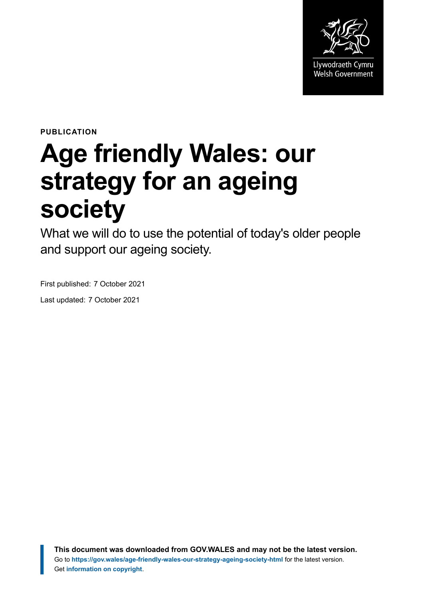

**PUBLICATION**

# **Age friendly Wales: our strategy for an ageing society**

What we will do to use the potential of today's older people and support our ageing society.

First published: 7 October 2021

Last updated: 7 October 2021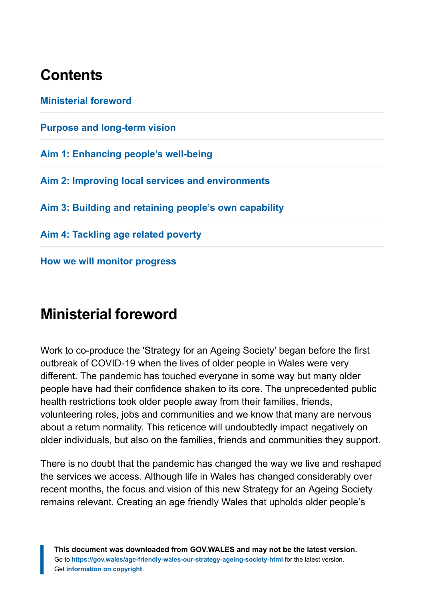# **Contents**

**[Ministerial foreword](#page-1-0) [Purpose and long-term vision](#page-5-0) [Aim 1: Enhancing people's well-being](#page-17-0) [Aim 2: Improving local services and environments](#page-24-0) [Aim 3: Building and retaining people's own capability](#page-35-0) [Aim 4: Tackling age related poverty](#page-50-0) [How we will monitor progress](#page-54-0)**

# <span id="page-1-0"></span>**Ministerial foreword**

Work to co-produce the 'Strategy for an Ageing Society' began before the first outbreak of COVID-19 when the lives of older people in Wales were very different. The pandemic has touched everyone in some way but many older people have had their confidence shaken to its core. The unprecedented public health restrictions took older people away from their families, friends, volunteering roles, jobs and communities and we know that many are nervous about a return normality. This reticence will undoubtedly impact negatively on older individuals, but also on the families, friends and communities they support.

There is no doubt that the pandemic has changed the way we live and reshaped the services we access. Although life in Wales has changed considerably over recent months, the focus and vision of this new Strategy for an Ageing Society remains relevant. Creating an age friendly Wales that upholds older people's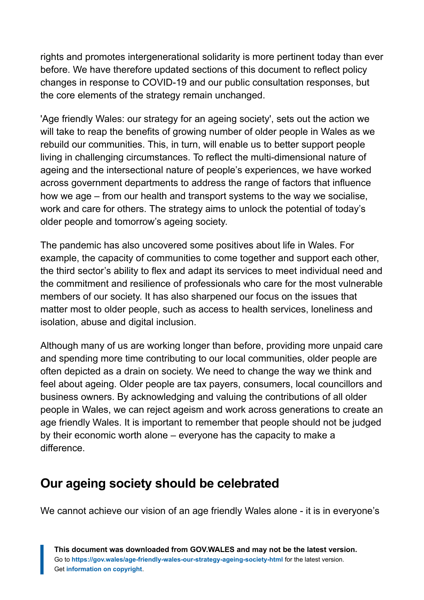rights and promotes intergenerational solidarity is more pertinent today than ever before. We have therefore updated sections of this document to reflect policy changes in response to COVID-19 and our public consultation responses, but the core elements of the strategy remain unchanged.

'Age friendly Wales: our strategy for an ageing society', sets out the action we will take to reap the benefits of growing number of older people in Wales as we rebuild our communities. This, in turn, will enable us to better support people living in challenging circumstances. To reflect the multi-dimensional nature of ageing and the intersectional nature of people's experiences, we have worked across government departments to address the range of factors that influence how we age – from our health and transport systems to the way we socialise, work and care for others. The strategy aims to unlock the potential of today's older people and tomorrow's ageing society.

The pandemic has also uncovered some positives about life in Wales. For example, the capacity of communities to come together and support each other, the third sector's ability to flex and adapt its services to meet individual need and the commitment and resilience of professionals who care for the most vulnerable members of our society. It has also sharpened our focus on the issues that matter most to older people, such as access to health services, loneliness and isolation, abuse and digital inclusion.

Although many of us are working longer than before, providing more unpaid care and spending more time contributing to our local communities, older people are often depicted as a drain on society. We need to change the way we think and feel about ageing. Older people are tax payers, consumers, local councillors and business owners. By acknowledging and valuing the contributions of all older people in Wales, we can reject ageism and work across generations to create an age friendly Wales. It is important to remember that people should not be judged by their economic worth alone – everyone has the capacity to make a difference.

### **Our ageing society should be celebrated**

We cannot achieve our vision of an age friendly Wales alone - it is in everyone's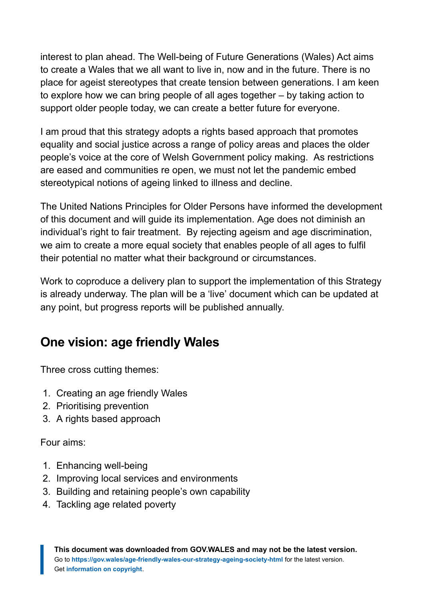interest to plan ahead. The Well-being of Future Generations (Wales) Act aims to create a Wales that we all want to live in, now and in the future. There is no place for ageist stereotypes that create tension between generations. I am keen to explore how we can bring people of all ages together – by taking action to support older people today, we can create a better future for everyone.

I am proud that this strategy adopts a rights based approach that promotes equality and social justice across a range of policy areas and places the older people's voice at the core of Welsh Government policy making. As restrictions are eased and communities re open, we must not let the pandemic embed stereotypical notions of ageing linked to illness and decline.

The United Nations Principles for Older Persons have informed the development of this document and will guide its implementation. Age does not diminish an individual's right to fair treatment. By rejecting ageism and age discrimination, we aim to create a more equal society that enables people of all ages to fulfil their potential no matter what their background or circumstances.

Work to coproduce a delivery plan to support the implementation of this Strategy is already underway. The plan will be a 'live' document which can be updated at any point, but progress reports will be published annually.

### **One vision: age friendly Wales**

Three cross cutting themes:

- 1. Creating an age friendly Wales
- 2. Prioritising prevention
- 3. A rights based approach

Four aims:

- 1. Enhancing well-being
- 2. Improving local services and environments
- 3. Building and retaining people's own capability
- 4. Tackling age related poverty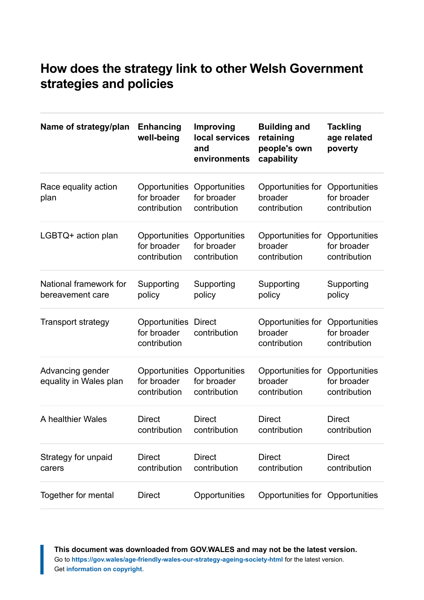### **How does the strategy link to other Welsh Government strategies and policies**

| Name of strategy/plan                      | <b>Enhancing</b><br>well-being               | <b>Improving</b><br>local services<br>and<br>environments | <b>Building and</b><br>retaining<br>people's own<br>capability | <b>Tackling</b><br>age related<br>poverty    |
|--------------------------------------------|----------------------------------------------|-----------------------------------------------------------|----------------------------------------------------------------|----------------------------------------------|
| Race equality action<br>plan               | Opportunities<br>for broader<br>contribution | Opportunities<br>for broader<br>contribution              | Opportunities for<br>broader<br>contribution                   | Opportunities<br>for broader<br>contribution |
| LGBTQ+ action plan                         | Opportunities<br>for broader<br>contribution | Opportunities<br>for broader<br>contribution              | Opportunities for<br>broader<br>contribution                   | Opportunities<br>for broader<br>contribution |
| National framework for<br>bereavement care | Supporting<br>policy                         | Supporting<br>policy                                      | Supporting<br>policy                                           | Supporting<br>policy                         |
| <b>Transport strategy</b>                  | Opportunities<br>for broader<br>contribution | <b>Direct</b><br>contribution                             | Opportunities for<br>broader<br>contribution                   | Opportunities<br>for broader<br>contribution |
| Advancing gender<br>equality in Wales plan | Opportunities<br>for broader<br>contribution | Opportunities<br>for broader<br>contribution              | Opportunities for<br>broader<br>contribution                   | Opportunities<br>for broader<br>contribution |
| A healthier Wales                          | <b>Direct</b><br>contribution                | <b>Direct</b><br>contribution                             | <b>Direct</b><br>contribution                                  | <b>Direct</b><br>contribution                |
| Strategy for unpaid<br>carers              | <b>Direct</b><br>contribution                | <b>Direct</b><br>contribution                             | <b>Direct</b><br>contribution                                  | <b>Direct</b><br>contribution                |
| Together for mental                        | <b>Direct</b>                                | Opportunities                                             | Opportunities for Opportunities                                |                                              |

**This document was downloaded from GOV.WALES and may not be the latest version.** Go to **<https://gov.wales/age-friendly-wales-our-strategy-ageing-society-html>** for the latest version. Get **[information on copyright](https://gov.wales/copyright-statement)**.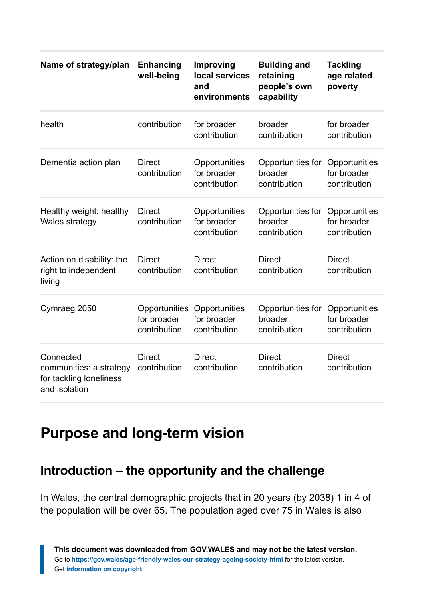| Name of strategy/plan                                                            | Enhancing<br>well-being                      | Improving<br>local services<br>and<br>environments | <b>Building and</b><br>retaining<br>people's own<br>capability | <b>Tackling</b><br>age related<br>poverty    |
|----------------------------------------------------------------------------------|----------------------------------------------|----------------------------------------------------|----------------------------------------------------------------|----------------------------------------------|
| health                                                                           | contribution                                 | for broader<br>contribution                        | broader<br>contribution                                        | for broader<br>contribution                  |
| Dementia action plan                                                             | <b>Direct</b><br>contribution                | Opportunities<br>for broader<br>contribution       | Opportunities for<br>broader<br>contribution                   | Opportunities<br>for broader<br>contribution |
| Healthy weight: healthy<br>Wales strategy                                        | <b>Direct</b><br>contribution                | Opportunities<br>for broader<br>contribution       | Opportunities for<br>broader<br>contribution                   | Opportunities<br>for broader<br>contribution |
| Action on disability: the<br>right to independent<br>living                      | <b>Direct</b><br>contribution                | <b>Direct</b><br>contribution                      | <b>Direct</b><br>contribution                                  | <b>Direct</b><br>contribution                |
| Cymraeg 2050                                                                     | Opportunities<br>for broader<br>contribution | Opportunities<br>for broader<br>contribution       | Opportunities for<br>broader<br>contribution                   | Opportunities<br>for broader<br>contribution |
| Connected<br>communities: a strategy<br>for tackling loneliness<br>and isolation | <b>Direct</b><br>contribution                | <b>Direct</b><br>contribution                      | <b>Direct</b><br>contribution                                  | <b>Direct</b><br>contribution                |

# <span id="page-5-0"></span>**Purpose and long-term vision**

### **Introduction – the opportunity and the challenge**

In Wales, the central demographic projects that in 20 years (by 2038) 1 in 4 of the population will be over 65. The population aged over 75 in Wales is also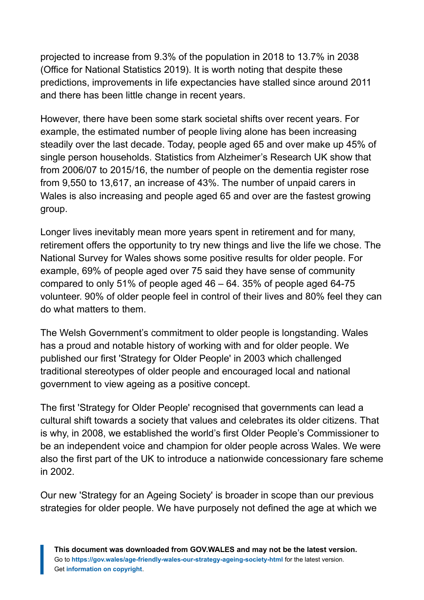projected to increase from 9.3% of the population in 2018 to 13.7% in 2038 (Office for National Statistics 2019). It is worth noting that despite these predictions, improvements in life expectancies have stalled since around 2011 and there has been little change in recent years.

However, there have been some stark societal shifts over recent years. For example, the estimated number of people living alone has been increasing steadily over the last decade. Today, people aged 65 and over make up 45% of single person households. Statistics from Alzheimer's Research UK show that from 2006/07 to 2015/16, the number of people on the dementia register rose from 9,550 to 13,617, an increase of 43%. The number of unpaid carers in Wales is also increasing and people aged 65 and over are the fastest growing group.

Longer lives inevitably mean more years spent in retirement and for many, retirement offers the opportunity to try new things and live the life we chose. The National Survey for Wales shows some positive results for older people. For example, 69% of people aged over 75 said they have sense of community compared to only 51% of people aged 46 – 64. 35% of people aged 64-75 volunteer. 90% of older people feel in control of their lives and 80% feel they can do what matters to them.

The Welsh Government's commitment to older people is longstanding. Wales has a proud and notable history of working with and for older people. We published our first 'Strategy for Older People' in 2003 which challenged traditional stereotypes of older people and encouraged local and national government to view ageing as a positive concept.

The first 'Strategy for Older People' recognised that governments can lead a cultural shift towards a society that values and celebrates its older citizens. That is why, in 2008, we established the world's first Older People's Commissioner to be an independent voice and champion for older people across Wales. We were also the first part of the UK to introduce a nationwide concessionary fare scheme in 2002.

Our new 'Strategy for an Ageing Society' is broader in scope than our previous strategies for older people. We have purposely not defined the age at which we

**This document was downloaded from GOV.WALES and may not be the latest version.** Go to **<https://gov.wales/age-friendly-wales-our-strategy-ageing-society-html>** for the latest version. Get **[information on copyright](https://gov.wales/copyright-statement)**.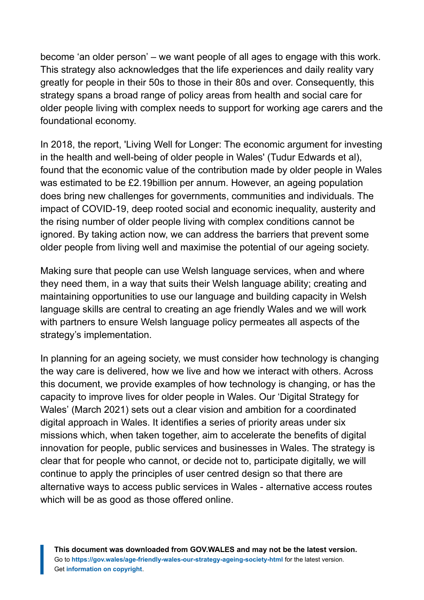become 'an older person' – we want people of all ages to engage with this work. This strategy also acknowledges that the life experiences and daily reality vary greatly for people in their 50s to those in their 80s and over. Consequently, this strategy spans a broad range of policy areas from health and social care for older people living with complex needs to support for working age carers and the foundational economy.

In 2018, the report, 'Living Well for Longer: The economic argument for investing in the health and well-being of older people in Wales' (Tudur Edwards et al), found that the economic value of the contribution made by older people in Wales was estimated to be £2.19billion per annum. However, an ageing population does bring new challenges for governments, communities and individuals. The impact of COVID-19, deep rooted social and economic inequality, austerity and the rising number of older people living with complex conditions cannot be ignored. By taking action now, we can address the barriers that prevent some older people from living well and maximise the potential of our ageing society.

Making sure that people can use Welsh language services, when and where they need them, in a way that suits their Welsh language ability; creating and maintaining opportunities to use our language and building capacity in Welsh language skills are central to creating an age friendly Wales and we will work with partners to ensure Welsh language policy permeates all aspects of the strategy's implementation.

In planning for an ageing society, we must consider how technology is changing the way care is delivered, how we live and how we interact with others. Across this document, we provide examples of how technology is changing, or has the capacity to improve lives for older people in Wales. Our 'Digital Strategy for Wales' (March 2021) sets out a clear vision and ambition for a coordinated digital approach in Wales. It identifies a series of priority areas under six missions which, when taken together, aim to accelerate the benefits of digital innovation for people, public services and businesses in Wales. The strategy is clear that for people who cannot, or decide not to, participate digitally, we will continue to apply the principles of user centred design so that there are alternative ways to access public services in Wales - alternative access routes which will be as good as those offered online.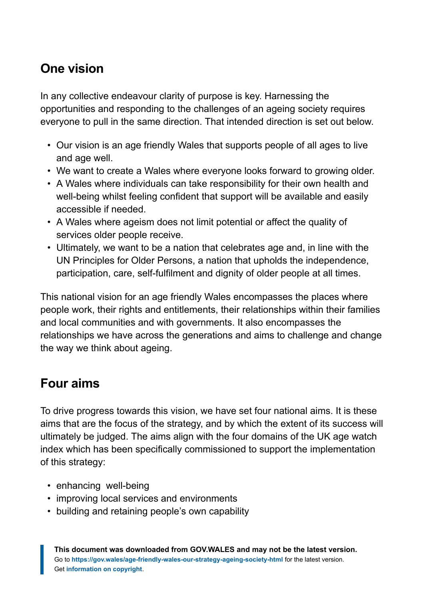# **One vision**

In any collective endeavour clarity of purpose is key. Harnessing the opportunities and responding to the challenges of an ageing society requires everyone to pull in the same direction. That intended direction is set out below.

- Our vision is an age friendly Wales that supports people of all ages to live and age well.
- We want to create a Wales where everyone looks forward to growing older.
- A Wales where individuals can take responsibility for their own health and well-being whilst feeling confident that support will be available and easily accessible if needed.
- A Wales where ageism does not limit potential or affect the quality of services older people receive.
- Ultimately, we want to be a nation that celebrates age and, in line with the UN Principles for Older Persons, a nation that upholds the independence, participation, care, self-fulfilment and dignity of older people at all times.

This national vision for an age friendly Wales encompasses the places where people work, their rights and entitlements, their relationships within their families and local communities and with governments. It also encompasses the relationships we have across the generations and aims to challenge and change the way we think about ageing.

### **Four aims**

To drive progress towards this vision, we have set four national aims. It is these aims that are the focus of the strategy, and by which the extent of its success will ultimately be judged. The aims align with the four domains of the UK age watch index which has been specifically commissioned to support the implementation of this strategy:

- enhancing well-being
- improving local services and environments
- building and retaining people's own capability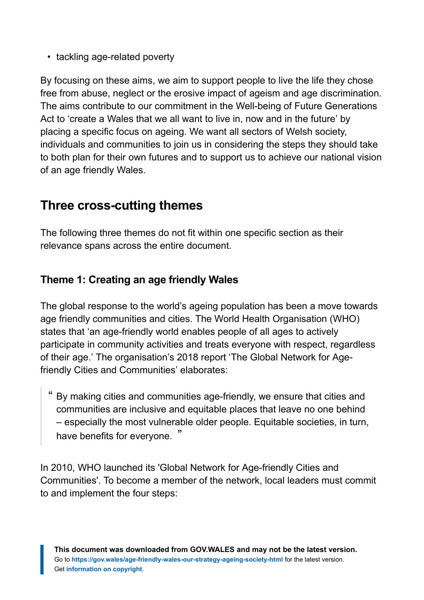• tackling age-related poverty

By focusing on these aims, we aim to support people to live the life they chose free from abuse, neglect or the erosive impact of ageism and age discrimination. The aims contribute to our commitment in the Well-being of Future Generations Act to 'create a Wales that we all want to live in, now and in the future' by placing a specific focus on ageing. We want all sectors of Welsh society, individuals and communities to join us in considering the steps they should take to both plan for their own futures and to support us to achieve our national vision of an age friendly Wales.

### **Three cross-cutting themes**

The following three themes do not fit within one specific section as their relevance spans across the entire document.

#### **Theme 1: Creating an age friendly Wales**

The global response to the world's ageing population has been a move towards age friendly communities and cities. The World Health Organisation (WHO) states that 'an age-friendly world enables people of all ages to actively participate in community activities and treats everyone with respect, regardless of their age.' The organisation's 2018 report 'The Global Network for Agefriendly Cities and Communities' elaborates:

" By making cities and communities age-friendly, we ensure that cities and communities are inclusive and equitable places that leave no one behind – especially the most vulnerable older people. Equitable societies, in turn, have benefits for everyone. "

In 2010, WHO launched its 'Global Network for Age-friendly Cities and Communities'. To become a member of the network, local leaders must commit to and implement the four steps: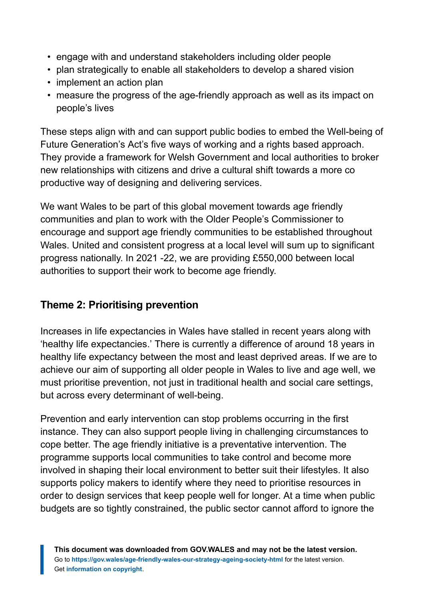- engage with and understand stakeholders including older people
- plan strategically to enable all stakeholders to develop a shared vision
- implement an action plan
- measure the progress of the age-friendly approach as well as its impact on people's lives

These steps align with and can support public bodies to embed the Well-being of Future Generation's Act's five ways of working and a rights based approach. They provide a framework for Welsh Government and local authorities to broker new relationships with citizens and drive a cultural shift towards a more co productive way of designing and delivering services.

We want Wales to be part of this global movement towards age friendly communities and plan to work with the Older People's Commissioner to encourage and support age friendly communities to be established throughout Wales. United and consistent progress at a local level will sum up to significant progress nationally. In 2021 -22, we are providing £550,000 between local authorities to support their work to become age friendly.

#### **Theme 2: Prioritising prevention**

Increases in life expectancies in Wales have stalled in recent years along with 'healthy life expectancies.' There is currently a difference of around 18 years in healthy life expectancy between the most and least deprived areas. If we are to achieve our aim of supporting all older people in Wales to live and age well, we must prioritise prevention, not just in traditional health and social care settings, but across every determinant of well-being.

Prevention and early intervention can stop problems occurring in the first instance. They can also support people living in challenging circumstances to cope better. The age friendly initiative is a preventative intervention. The programme supports local communities to take control and become more involved in shaping their local environment to better suit their lifestyles. It also supports policy makers to identify where they need to prioritise resources in order to design services that keep people well for longer. At a time when public budgets are so tightly constrained, the public sector cannot afford to ignore the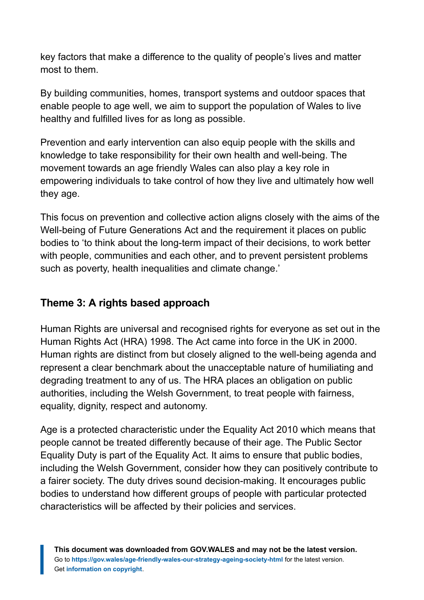key factors that make a difference to the quality of people's lives and matter most to them.

By building communities, homes, transport systems and outdoor spaces that enable people to age well, we aim to support the population of Wales to live healthy and fulfilled lives for as long as possible.

Prevention and early intervention can also equip people with the skills and knowledge to take responsibility for their own health and well-being. The movement towards an age friendly Wales can also play a key role in empowering individuals to take control of how they live and ultimately how well they age.

This focus on prevention and collective action aligns closely with the aims of the Well-being of Future Generations Act and the requirement it places on public bodies to 'to think about the long-term impact of their decisions, to work better with people, communities and each other, and to prevent persistent problems such as poverty, health inequalities and climate change.'

#### **Theme 3: A rights based approach**

Human Rights are universal and recognised rights for everyone as set out in the Human Rights Act (HRA) 1998. The Act came into force in the UK in 2000. Human rights are distinct from but closely aligned to the well-being agenda and represent a clear benchmark about the unacceptable nature of humiliating and degrading treatment to any of us. The HRA places an obligation on public authorities, including the Welsh Government, to treat people with fairness, equality, dignity, respect and autonomy.

Age is a protected characteristic under the Equality Act 2010 which means that people cannot be treated differently because of their age. The Public Sector Equality Duty is part of the Equality Act. It aims to ensure that public bodies, including the Welsh Government, consider how they can positively contribute to a fairer society. The duty drives sound decision-making. It encourages public bodies to understand how different groups of people with particular protected characteristics will be affected by their policies and services.

**This document was downloaded from GOV.WALES and may not be the latest version.** Go to **<https://gov.wales/age-friendly-wales-our-strategy-ageing-society-html>** for the latest version. Get **[information on copyright](https://gov.wales/copyright-statement)**.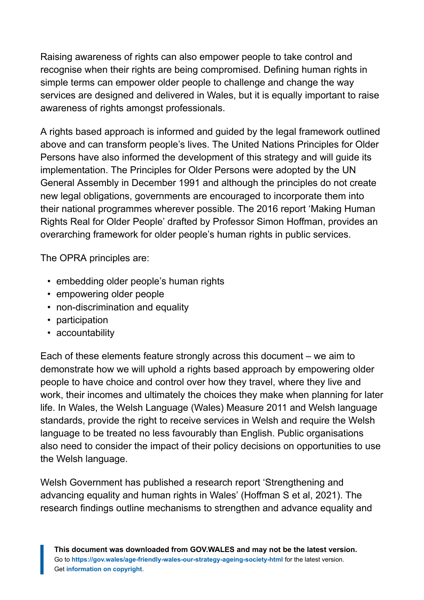Raising awareness of rights can also empower people to take control and recognise when their rights are being compromised. Defining human rights in simple terms can empower older people to challenge and change the way services are designed and delivered in Wales, but it is equally important to raise awareness of rights amongst professionals.

A rights based approach is informed and guided by the legal framework outlined above and can transform people's lives. The United Nations Principles for Older Persons have also informed the development of this strategy and will guide its implementation. The Principles for Older Persons were adopted by the UN General Assembly in December 1991 and although the principles do not create new legal obligations, governments are encouraged to incorporate them into their national programmes wherever possible. The 2016 report 'Making Human Rights Real for Older People' drafted by Professor Simon Hoffman, provides an overarching framework for older people's human rights in public services.

The OPRA principles are:

- embedding older people's human rights
- empowering older people
- non-discrimination and equality
- participation
- accountability

Each of these elements feature strongly across this document – we aim to demonstrate how we will uphold a rights based approach by empowering older people to have choice and control over how they travel, where they live and work, their incomes and ultimately the choices they make when planning for later life. In Wales, the Welsh Language (Wales) Measure 2011 and Welsh language standards, provide the right to receive services in Welsh and require the Welsh language to be treated no less favourably than English. Public organisations also need to consider the impact of their policy decisions on opportunities to use the Welsh language.

Welsh Government has published a research report 'Strengthening and advancing equality and human rights in Wales' (Hoffman S et al, 2021). The research findings outline mechanisms to strengthen and advance equality and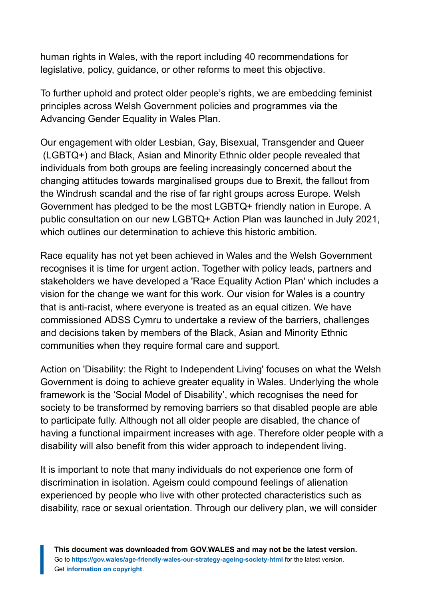human rights in Wales, with the report including 40 recommendations for legislative, policy, guidance, or other reforms to meet this objective.

To further uphold and protect older people's rights, we are embedding feminist principles across Welsh Government policies and programmes via the Advancing Gender Equality in Wales Plan.

Our engagement with older Lesbian, Gay, Bisexual, Transgender and Queer (LGBTQ+) and Black, Asian and Minority Ethnic older people revealed that individuals from both groups are feeling increasingly concerned about the changing attitudes towards marginalised groups due to Brexit, the fallout from the Windrush scandal and the rise of far right groups across Europe. Welsh Government has pledged to be the most LGBTQ+ friendly nation in Europe. A public consultation on our new LGBTQ+ Action Plan was launched in July 2021, which outlines our determination to achieve this historic ambition.

Race equality has not yet been achieved in Wales and the Welsh Government recognises it is time for urgent action. Together with policy leads, partners and stakeholders we have developed a 'Race Equality Action Plan' which includes a vision for the change we want for this work. Our vision for Wales is a country that is anti-racist, where everyone is treated as an equal citizen. We have commissioned ADSS Cymru to undertake a review of the barriers, challenges and decisions taken by members of the Black, Asian and Minority Ethnic communities when they require formal care and support.

Action on 'Disability: the Right to Independent Living' focuses on what the Welsh Government is doing to achieve greater equality in Wales. Underlying the whole framework is the 'Social Model of Disability', which recognises the need for society to be transformed by removing barriers so that disabled people are able to participate fully. Although not all older people are disabled, the chance of having a functional impairment increases with age. Therefore older people with a disability will also benefit from this wider approach to independent living.

It is important to note that many individuals do not experience one form of discrimination in isolation. Ageism could compound feelings of alienation experienced by people who live with other protected characteristics such as disability, race or sexual orientation. Through our delivery plan, we will consider

**This document was downloaded from GOV.WALES and may not be the latest version.** Go to **<https://gov.wales/age-friendly-wales-our-strategy-ageing-society-html>** for the latest version. Get **[information on copyright](https://gov.wales/copyright-statement)**.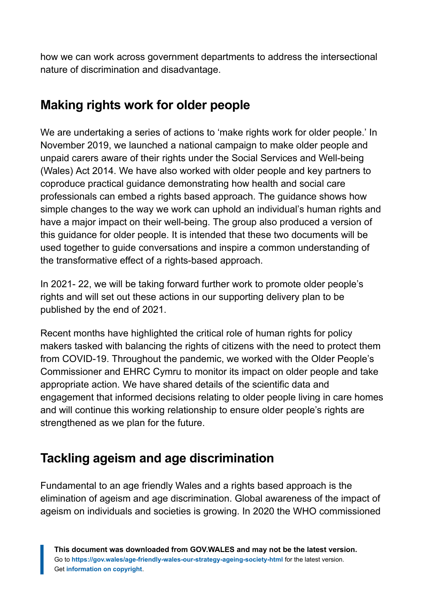how we can work across government departments to address the intersectional nature of discrimination and disadvantage.

### **Making rights work for older people**

We are undertaking a series of actions to 'make rights work for older people.' In November 2019, we launched a national campaign to make older people and unpaid carers aware of their rights under the Social Services and Well-being (Wales) Act 2014. We have also worked with older people and key partners to coproduce practical guidance demonstrating how health and social care professionals can embed a rights based approach. The guidance shows how simple changes to the way we work can uphold an individual's human rights and have a major impact on their well-being. The group also produced a version of this guidance for older people. It is intended that these two documents will be used together to guide conversations and inspire a common understanding of the transformative effect of a rights-based approach.

In 2021- 22, we will be taking forward further work to promote older people's rights and will set out these actions in our supporting delivery plan to be published by the end of 2021.

Recent months have highlighted the critical role of human rights for policy makers tasked with balancing the rights of citizens with the need to protect them from COVID-19. Throughout the pandemic, we worked with the Older People's Commissioner and EHRC Cymru to monitor its impact on older people and take appropriate action. We have shared details of the scientific data and engagement that informed decisions relating to older people living in care homes and will continue this working relationship to ensure older people's rights are strengthened as we plan for the future.

# **Tackling ageism and age discrimination**

Fundamental to an age friendly Wales and a rights based approach is the elimination of ageism and age discrimination. Global awareness of the impact of ageism on individuals and societies is growing. In 2020 the WHO commissioned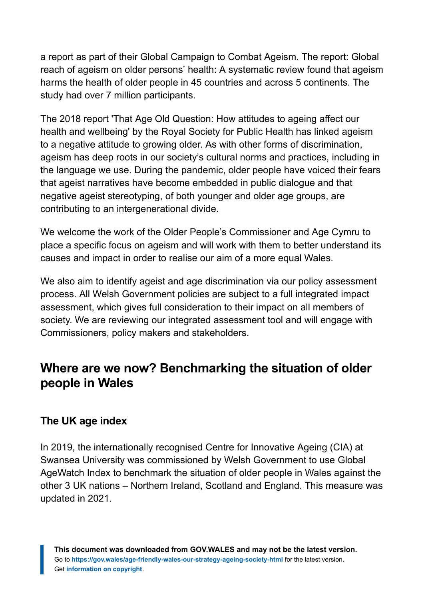a report as part of their Global Campaign to Combat Ageism. The report: Global reach of ageism on older persons' health: A systematic review found that ageism harms the health of older people in 45 countries and across 5 continents. The study had over 7 million participants.

The 2018 report 'That Age Old Question: How attitudes to ageing affect our health and wellbeing' by the Royal Society for Public Health has linked ageism to a negative attitude to growing older. As with other forms of discrimination, ageism has deep roots in our society's cultural norms and practices, including in the language we use. During the pandemic, older people have voiced their fears that ageist narratives have become embedded in public dialogue and that negative ageist stereotyping, of both younger and older age groups, are contributing to an intergenerational divide.

We welcome the work of the Older People's Commissioner and Age Cymru to place a specific focus on ageism and will work with them to better understand its causes and impact in order to realise our aim of a more equal Wales.

We also aim to identify ageist and age discrimination via our policy assessment process. All Welsh Government policies are subject to a full integrated impact assessment, which gives full consideration to their impact on all members of society. We are reviewing our integrated assessment tool and will engage with Commissioners, policy makers and stakeholders.

### **Where are we now? Benchmarking the situation of older people in Wales**

#### **The UK age index**

In 2019, the internationally recognised Centre for Innovative Ageing (CIA) at Swansea University was commissioned by Welsh Government to use Global AgeWatch Index to benchmark the situation of older people in Wales against the other 3 UK nations – Northern Ireland, Scotland and England. This measure was updated in 2021.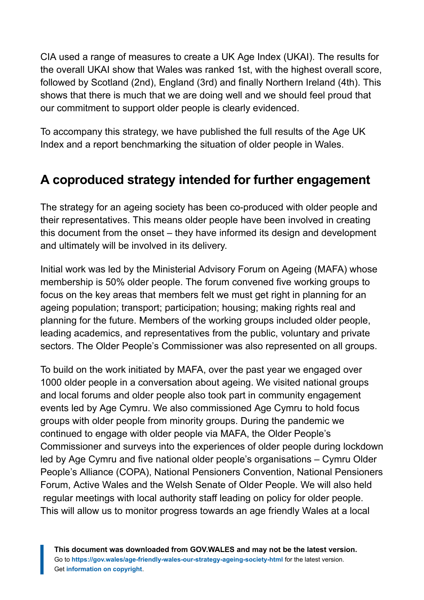CIA used a range of measures to create a UK Age Index (UKAI). The results for the overall UKAI show that Wales was ranked 1st, with the highest overall score, followed by Scotland (2nd), England (3rd) and finally Northern Ireland (4th). This shows that there is much that we are doing well and we should feel proud that our commitment to support older people is clearly evidenced.

To accompany this strategy, we have published the full results of the Age UK Index and a report benchmarking the situation of older people in Wales.

### **A coproduced strategy intended for further engagement**

The strategy for an ageing society has been co-produced with older people and their representatives. This means older people have been involved in creating this document from the onset – they have informed its design and development and ultimately will be involved in its delivery.

Initial work was led by the Ministerial Advisory Forum on Ageing (MAFA) whose membership is 50% older people. The forum convened five working groups to focus on the key areas that members felt we must get right in planning for an ageing population; transport; participation; housing; making rights real and planning for the future. Members of the working groups included older people, leading academics, and representatives from the public, voluntary and private sectors. The Older People's Commissioner was also represented on all groups.

To build on the work initiated by MAFA, over the past year we engaged over 1000 older people in a conversation about ageing. We visited national groups and local forums and older people also took part in community engagement events led by Age Cymru. We also commissioned Age Cymru to hold focus groups with older people from minority groups. During the pandemic we continued to engage with older people via MAFA, the Older People's Commissioner and surveys into the experiences of older people during lockdown led by Age Cymru and five national older people's organisations – Cymru Older People's Alliance (COPA), National Pensioners Convention, National Pensioners Forum, Active Wales and the Welsh Senate of Older People. We will also held regular meetings with local authority staff leading on policy for older people. This will allow us to monitor progress towards an age friendly Wales at a local

**This document was downloaded from GOV.WALES and may not be the latest version.** Go to **<https://gov.wales/age-friendly-wales-our-strategy-ageing-society-html>** for the latest version. Get **[information on copyright](https://gov.wales/copyright-statement)**.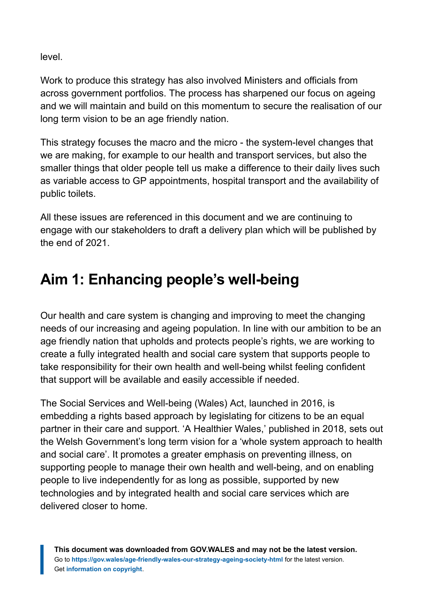level.

Work to produce this strategy has also involved Ministers and officials from across government portfolios. The process has sharpened our focus on ageing and we will maintain and build on this momentum to secure the realisation of our long term vision to be an age friendly nation.

This strategy focuses the macro and the micro - the system-level changes that we are making, for example to our health and transport services, but also the smaller things that older people tell us make a difference to their daily lives such as variable access to GP appointments, hospital transport and the availability of public toilets.

All these issues are referenced in this document and we are continuing to engage with our stakeholders to draft a delivery plan which will be published by the end of 2021.

# <span id="page-17-0"></span>**Aim 1: Enhancing people's well-being**

Our health and care system is changing and improving to meet the changing needs of our increasing and ageing population. In line with our ambition to be an age friendly nation that upholds and protects people's rights, we are working to create a fully integrated health and social care system that supports people to take responsibility for their own health and well-being whilst feeling confident that support will be available and easily accessible if needed.

The Social Services and Well-being (Wales) Act, launched in 2016, is embedding a rights based approach by legislating for citizens to be an equal partner in their care and support. 'A Healthier Wales,' published in 2018, sets out the Welsh Government's long term vision for a 'whole system approach to health and social care'. It promotes a greater emphasis on preventing illness, on supporting people to manage their own health and well-being, and on enabling people to live independently for as long as possible, supported by new technologies and by integrated health and social care services which are delivered closer to home.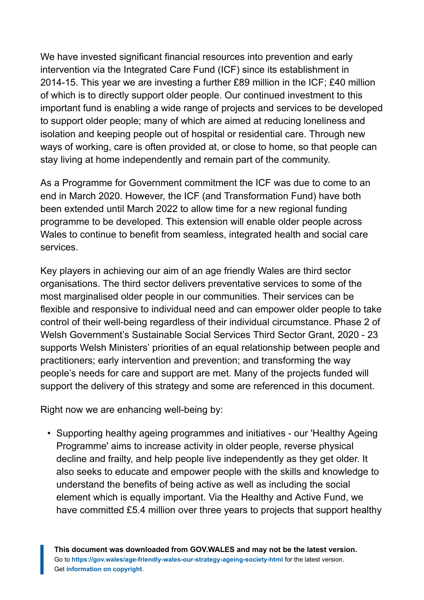We have invested significant financial resources into prevention and early intervention via the Integrated Care Fund (ICF) since its establishment in 2014-15. This year we are investing a further £89 million in the ICF; £40 million of which is to directly support older people. Our continued investment to this important fund is enabling a wide range of projects and services to be developed to support older people; many of which are aimed at reducing loneliness and isolation and keeping people out of hospital or residential care. Through new ways of working, care is often provided at, or close to home, so that people can stay living at home independently and remain part of the community.

As a Programme for Government commitment the ICF was due to come to an end in March 2020. However, the ICF (and Transformation Fund) have both been extended until March 2022 to allow time for a new regional funding programme to be developed. This extension will enable older people across Wales to continue to benefit from seamless, integrated health and social care services.

Key players in achieving our aim of an age friendly Wales are third sector organisations. The third sector delivers preventative services to some of the most marginalised older people in our communities. Their services can be flexible and responsive to individual need and can empower older people to take control of their well-being regardless of their individual circumstance. Phase 2 of Welsh Government's Sustainable Social Services Third Sector Grant, 2020 - 23 supports Welsh Ministers' priorities of an equal relationship between people and practitioners; early intervention and prevention; and transforming the way people's needs for care and support are met. Many of the projects funded will support the delivery of this strategy and some are referenced in this document.

Right now we are enhancing well-being by:

• Supporting healthy ageing programmes and initiatives - our 'Healthy Ageing Programme' aims to increase activity in older people, reverse physical decline and frailty, and help people live independently as they get older. It also seeks to educate and empower people with the skills and knowledge to understand the benefits of being active as well as including the social element which is equally important. Via the Healthy and Active Fund, we have committed £5.4 million over three years to projects that support healthy

**This document was downloaded from GOV.WALES and may not be the latest version.** Go to **<https://gov.wales/age-friendly-wales-our-strategy-ageing-society-html>** for the latest version. Get **[information on copyright](https://gov.wales/copyright-statement)**.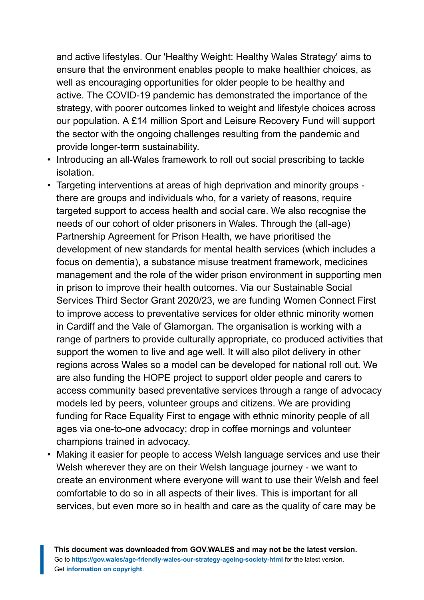and active lifestyles. Our 'Healthy Weight: Healthy Wales Strategy' aims to ensure that the environment enables people to make healthier choices, as well as encouraging opportunities for older people to be healthy and active. The COVID-19 pandemic has demonstrated the importance of the strategy, with poorer outcomes linked to weight and lifestyle choices across our population. A £14 million Sport and Leisure Recovery Fund will support the sector with the ongoing challenges resulting from the pandemic and provide longer-term sustainability.

- Introducing an all-Wales framework to roll out social prescribing to tackle isolation.
- Targeting interventions at areas of high deprivation and minority groups there are groups and individuals who, for a variety of reasons, require targeted support to access health and social care. We also recognise the needs of our cohort of older prisoners in Wales. Through the (all-age) Partnership Agreement for Prison Health, we have prioritised the development of new standards for mental health services (which includes a focus on dementia), a substance misuse treatment framework, medicines management and the role of the wider prison environment in supporting men in prison to improve their health outcomes. Via our Sustainable Social Services Third Sector Grant 2020/23, we are funding Women Connect First to improve access to preventative services for older ethnic minority women in Cardiff and the Vale of Glamorgan. The organisation is working with a range of partners to provide culturally appropriate, co produced activities that support the women to live and age well. It will also pilot delivery in other regions across Wales so a model can be developed for national roll out. We are also funding the HOPE project to support older people and carers to access community based preventative services through a range of advocacy models led by peers, volunteer groups and citizens. We are providing funding for Race Equality First to engage with ethnic minority people of all ages via one-to-one advocacy; drop in coffee mornings and volunteer champions trained in advocacy.
- Making it easier for people to access Welsh language services and use their Welsh wherever they are on their Welsh language journey - we want to create an environment where everyone will want to use their Welsh and feel comfortable to do so in all aspects of their lives. This is important for all services, but even more so in health and care as the quality of care may be

**This document was downloaded from GOV.WALES and may not be the latest version.** Go to **<https://gov.wales/age-friendly-wales-our-strategy-ageing-society-html>** for the latest version. Get **[information on copyright](https://gov.wales/copyright-statement)**.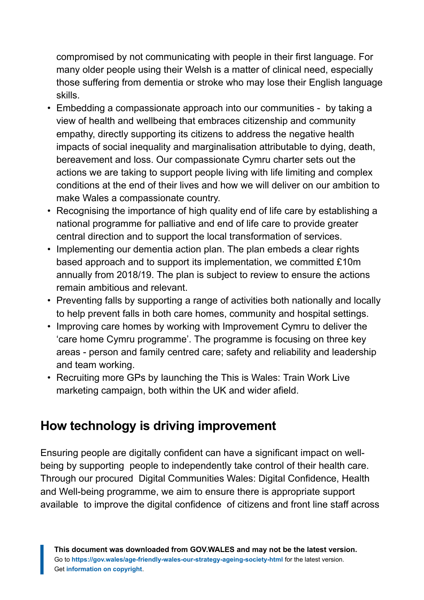compromised by not communicating with people in their first language. For many older people using their Welsh is a matter of clinical need, especially those suffering from dementia or stroke who may lose their English language skills.

- Embedding a compassionate approach into our communities by taking a view of health and wellbeing that embraces citizenship and community empathy, directly supporting its citizens to address the negative health impacts of social inequality and marginalisation attributable to dying, death, bereavement and loss. Our compassionate Cymru charter sets out the actions we are taking to support people living with life limiting and complex conditions at the end of their lives and how we will deliver on our ambition to make Wales a compassionate country.
- Recognising the importance of high quality end of life care by establishing a national programme for palliative and end of life care to provide greater central direction and to support the local transformation of services.
- Implementing our dementia action plan. The plan embeds a clear rights based approach and to support its implementation, we committed £10m annually from 2018/19. The plan is subject to review to ensure the actions remain ambitious and relevant.
- Preventing falls by supporting a range of activities both nationally and locally to help prevent falls in both care homes, community and hospital settings.
- Improving care homes by working with Improvement Cymru to deliver the 'care home Cymru programme'. The programme is focusing on three key areas - person and family centred care; safety and reliability and leadership and team working.
- Recruiting more GPs by launching the This is Wales: Train Work Live marketing campaign, both within the UK and wider afield.

### **How technology is driving improvement**

Ensuring people are digitally confident can have a significant impact on wellbeing by supporting people to independently take control of their health care. Through our procured Digital Communities Wales: Digital Confidence, Health and Well-being programme, we aim to ensure there is appropriate support available to improve the digital confidence of citizens and front line staff across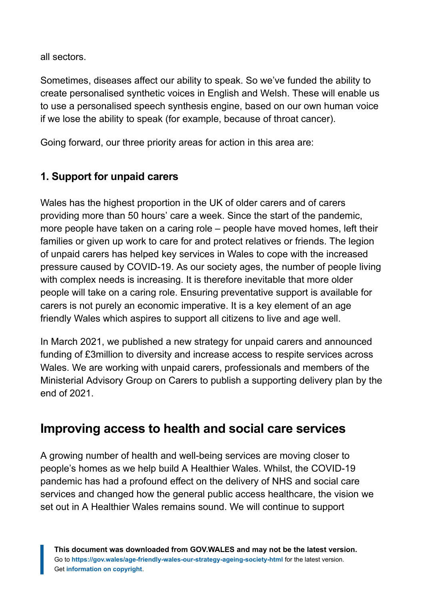all sectors.

Sometimes, diseases affect our ability to speak. So we've funded the ability to create personalised synthetic voices in English and Welsh. These will enable us to use a personalised speech synthesis engine, based on our own human voice if we lose the ability to speak (for example, because of throat cancer).

Going forward, our three priority areas for action in this area are:

#### **1. Support for unpaid carers**

Wales has the highest proportion in the UK of older carers and of carers providing more than 50 hours' care a week. Since the start of the pandemic, more people have taken on a caring role – people have moved homes, left their families or given up work to care for and protect relatives or friends. The legion of unpaid carers has helped key services in Wales to cope with the increased pressure caused by COVID-19. As our society ages, the number of people living with complex needs is increasing. It is therefore inevitable that more older people will take on a caring role. Ensuring preventative support is available for carers is not purely an economic imperative. It is a key element of an age friendly Wales which aspires to support all citizens to live and age well.

In March 2021, we published a new strategy for unpaid carers and announced funding of £3million to diversity and increase access to respite services across Wales. We are working with unpaid carers, professionals and members of the Ministerial Advisory Group on Carers to publish a supporting delivery plan by the end of 2021.

### **Improving access to health and social care services**

A growing number of health and well-being services are moving closer to people's homes as we help build A Healthier Wales. Whilst, the COVID-19 pandemic has had a profound effect on the delivery of NHS and social care services and changed how the general public access healthcare, the vision we set out in A Healthier Wales remains sound. We will continue to support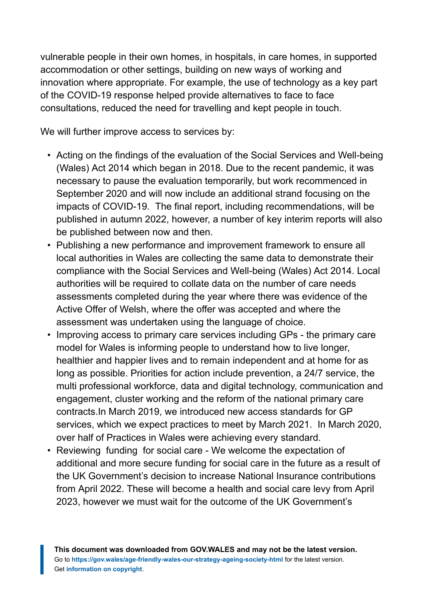vulnerable people in their own homes, in hospitals, in care homes, in supported accommodation or other settings, building on new ways of working and innovation where appropriate. For example, the use of technology as a key part of the COVID-19 response helped provide alternatives to face to face consultations, reduced the need for travelling and kept people in touch.

We will further improve access to services by:

- Acting on the findings of the evaluation of the Social Services and Well-being (Wales) Act 2014 which began in 2018. Due to the recent pandemic, it was necessary to pause the evaluation temporarily, but work recommenced in September 2020 and will now include an additional strand focusing on the impacts of COVID-19. The final report, including recommendations, will be published in autumn 2022, however, a number of key interim reports will also be published between now and then.
- Publishing a new performance and improvement framework to ensure all local authorities in Wales are collecting the same data to demonstrate their compliance with the Social Services and Well-being (Wales) Act 2014. Local authorities will be required to collate data on the number of care needs assessments completed during the year where there was evidence of the Active Offer of Welsh, where the offer was accepted and where the assessment was undertaken using the language of choice.
- Improving access to primary care services including GPs the primary care model for Wales is informing people to understand how to live longer, healthier and happier lives and to remain independent and at home for as long as possible. Priorities for action include prevention, a 24/7 service, the multi professional workforce, data and digital technology, communication and engagement, cluster working and the reform of the national primary care contracts.In March 2019, we introduced new access standards for GP services, which we expect practices to meet by March 2021. In March 2020, over half of Practices in Wales were achieving every standard.
- Reviewing funding for social care We welcome the expectation of additional and more secure funding for social care in the future as a result of the UK Government's decision to increase National Insurance contributions from April 2022. These will become a health and social care levy from April 2023, however we must wait for the outcome of the UK Government's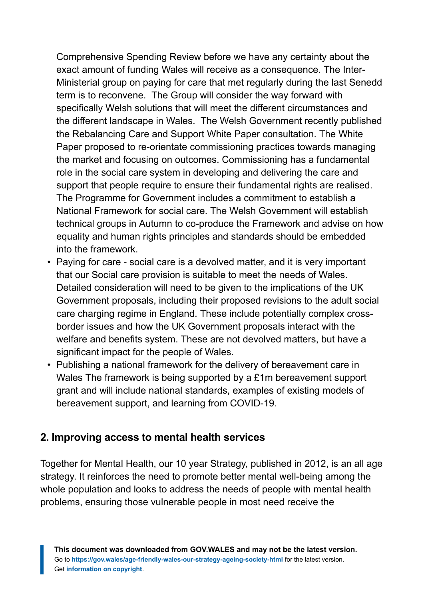Comprehensive Spending Review before we have any certainty about the exact amount of funding Wales will receive as a consequence. The Inter-Ministerial group on paying for care that met regularly during the last Senedd term is to reconvene. The Group will consider the way forward with specifically Welsh solutions that will meet the different circumstances and the different landscape in Wales. The Welsh Government recently published the Rebalancing Care and Support White Paper consultation. The White Paper proposed to re-orientate commissioning practices towards managing the market and focusing on outcomes. Commissioning has a fundamental role in the social care system in developing and delivering the care and support that people require to ensure their fundamental rights are realised. The Programme for Government includes a commitment to establish a National Framework for social care. The Welsh Government will establish technical groups in Autumn to co-produce the Framework and advise on how equality and human rights principles and standards should be embedded into the framework.

- Paying for care social care is a devolved matter, and it is very important that our Social care provision is suitable to meet the needs of Wales. Detailed consideration will need to be given to the implications of the UK Government proposals, including their proposed revisions to the adult social care charging regime in England. These include potentially complex crossborder issues and how the UK Government proposals interact with the welfare and benefits system. These are not devolved matters, but have a significant impact for the people of Wales.
- Publishing a national framework for the delivery of bereavement care in Wales The framework is being supported by a £1m bereavement support grant and will include national standards, examples of existing models of bereavement support, and learning from COVID-19.

#### **2. Improving access to mental health services**

Together for Mental Health, our 10 year Strategy, published in 2012, is an all age strategy. It reinforces the need to promote better mental well-being among the whole population and looks to address the needs of people with mental health problems, ensuring those vulnerable people in most need receive the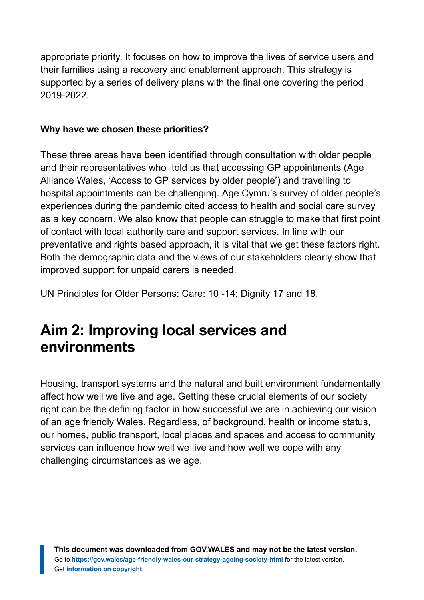appropriate priority. It focuses on how to improve the lives of service users and their families using a recovery and enablement approach. This strategy is supported by a series of delivery plans with the final one covering the period 2019-2022.

#### **Why have we chosen these priorities?**

These three areas have been identified through consultation with older people and their representatives who told us that accessing GP appointments (Age Alliance Wales, 'Access to GP services by older people') and travelling to hospital appointments can be challenging. Age Cymru's survey of older people's experiences during the pandemic cited access to health and social care survey as a key concern. We also know that people can struggle to make that first point of contact with local authority care and support services. In line with our preventative and rights based approach, it is vital that we get these factors right. Both the demographic data and the views of our stakeholders clearly show that improved support for unpaid carers is needed.

UN Principles for Older Persons: Care: 10 -14; Dignity 17 and 18.

# <span id="page-24-0"></span>**Aim 2: Improving local services and environments**

Housing, transport systems and the natural and built environment fundamentally affect how well we live and age. Getting these crucial elements of our society right can be the defining factor in how successful we are in achieving our vision of an age friendly Wales. Regardless, of background, health or income status, our homes, public transport, local places and spaces and access to community services can influence how well we live and how well we cope with any challenging circumstances as we age.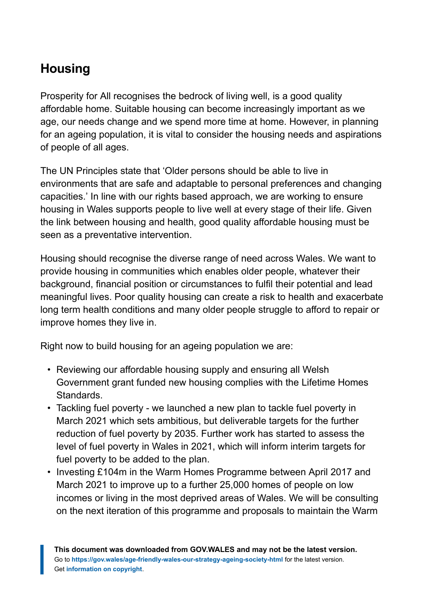# **Housing**

Prosperity for All recognises the bedrock of living well, is a good quality affordable home. Suitable housing can become increasingly important as we age, our needs change and we spend more time at home. However, in planning for an ageing population, it is vital to consider the housing needs and aspirations of people of all ages.

The UN Principles state that 'Older persons should be able to live in environments that are safe and adaptable to personal preferences and changing capacities.' In line with our rights based approach, we are working to ensure housing in Wales supports people to live well at every stage of their life. Given the link between housing and health, good quality affordable housing must be seen as a preventative intervention.

Housing should recognise the diverse range of need across Wales. We want to provide housing in communities which enables older people, whatever their background, financial position or circumstances to fulfil their potential and lead meaningful lives. Poor quality housing can create a risk to health and exacerbate long term health conditions and many older people struggle to afford to repair or improve homes they live in.

Right now to build housing for an ageing population we are:

- Reviewing our affordable housing supply and ensuring all Welsh Government grant funded new housing complies with the Lifetime Homes Standards.
- Tackling fuel poverty we launched a new plan to tackle fuel poverty in March 2021 which sets ambitious, but deliverable targets for the further reduction of fuel poverty by 2035. Further work has started to assess the level of fuel poverty in Wales in 2021, which will inform interim targets for fuel poverty to be added to the plan.
- Investing £104m in the Warm Homes Programme between April 2017 and March 2021 to improve up to a further 25,000 homes of people on low incomes or living in the most deprived areas of Wales. We will be consulting on the next iteration of this programme and proposals to maintain the Warm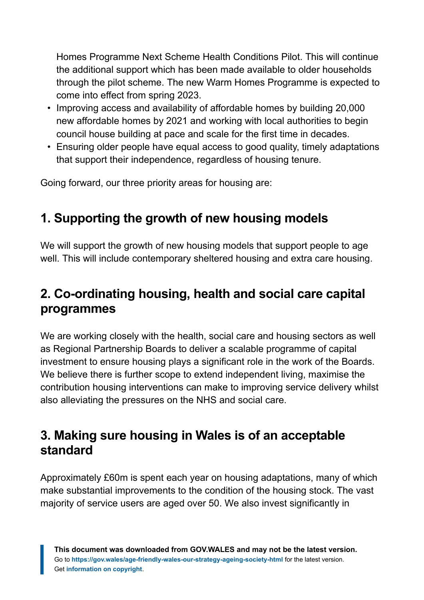Homes Programme Next Scheme Health Conditions Pilot. This will continue the additional support which has been made available to older households through the pilot scheme. The new Warm Homes Programme is expected to come into effect from spring 2023.

- Improving access and availability of affordable homes by building 20,000 new affordable homes by 2021 and working with local authorities to begin council house building at pace and scale for the first time in decades.
- Ensuring older people have equal access to good quality, timely adaptations that support their independence, regardless of housing tenure.

Going forward, our three priority areas for housing are:

# **1. Supporting the growth of new housing models**

We will support the growth of new housing models that support people to age well. This will include contemporary sheltered housing and extra care housing.

# **2. Co-ordinating housing, health and social care capital programmes**

We are working closely with the health, social care and housing sectors as well as Regional Partnership Boards to deliver a scalable programme of capital investment to ensure housing plays a significant role in the work of the Boards. We believe there is further scope to extend independent living, maximise the contribution housing interventions can make to improving service delivery whilst also alleviating the pressures on the NHS and social care.

### **3. Making sure housing in Wales is of an acceptable standard**

Approximately £60m is spent each year on housing adaptations, many of which make substantial improvements to the condition of the housing stock. The vast majority of service users are aged over 50. We also invest significantly in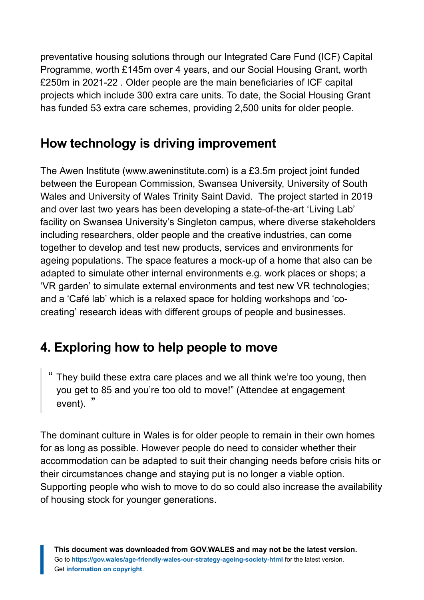preventative housing solutions through our Integrated Care Fund (ICF) Capital Programme, worth £145m over 4 years, and our Social Housing Grant, worth £250m in 2021-22 . Older people are the main beneficiaries of ICF capital projects which include 300 extra care units. To date, the Social Housing Grant has funded 53 extra care schemes, providing 2,500 units for older people.

### **How technology is driving improvement**

The Awen Institute (www.aweninstitute.com) is a £3.5m project joint funded between the European Commission, Swansea University, University of South Wales and University of Wales Trinity Saint David. The project started in 2019 and over last two years has been developing a state-of-the-art 'Living Lab' facility on Swansea University's Singleton campus, where diverse stakeholders including researchers, older people and the creative industries, can come together to develop and test new products, services and environments for ageing populations. The space features a mock-up of a home that also can be adapted to simulate other internal environments e.g. work places or shops; a 'VR garden' to simulate external environments and test new VR technologies; and a 'Café lab' which is a relaxed space for holding workshops and 'cocreating' research ideas with different groups of people and businesses.

# **4. Exploring how to help people to move**

" They build these extra care places and we all think we're too young, then you get to 85 and you're too old to move!" (Attendee at engagement event). "

The dominant culture in Wales is for older people to remain in their own homes for as long as possible. However people do need to consider whether their accommodation can be adapted to suit their changing needs before crisis hits or their circumstances change and staying put is no longer a viable option. Supporting people who wish to move to do so could also increase the availability of housing stock for younger generations.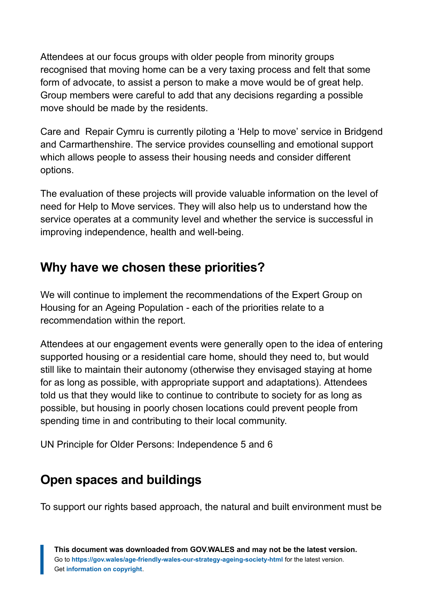Attendees at our focus groups with older people from minority groups recognised that moving home can be a very taxing process and felt that some form of advocate, to assist a person to make a move would be of great help. Group members were careful to add that any decisions regarding a possible move should be made by the residents.

Care and Repair Cymru is currently piloting a 'Help to move' service in Bridgend and Carmarthenshire. The service provides counselling and emotional support which allows people to assess their housing needs and consider different options.

The evaluation of these projects will provide valuable information on the level of need for Help to Move services. They will also help us to understand how the service operates at a community level and whether the service is successful in improving independence, health and well-being.

### **Why have we chosen these priorities?**

We will continue to implement the recommendations of the Expert Group on Housing for an Ageing Population - each of the priorities relate to a recommendation within the report.

Attendees at our engagement events were generally open to the idea of entering supported housing or a residential care home, should they need to, but would still like to maintain their autonomy (otherwise they envisaged staying at home for as long as possible, with appropriate support and adaptations). Attendees told us that they would like to continue to contribute to society for as long as possible, but housing in poorly chosen locations could prevent people from spending time in and contributing to their local community.

UN Principle for Older Persons: Independence 5 and 6

### **Open spaces and buildings**

To support our rights based approach, the natural and built environment must be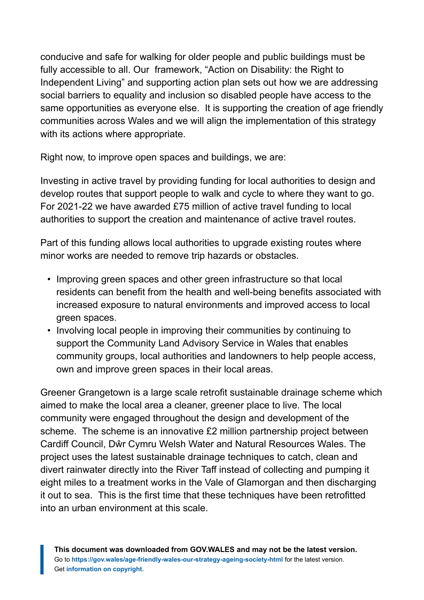conducive and safe for walking for older people and public buildings must be fully accessible to all. Our framework, "Action on Disability: the Right to Independent Living" and supporting action plan sets out how we are addressing social barriers to equality and inclusion so disabled people have access to the same opportunities as everyone else. It is supporting the creation of age friendly communities across Wales and we will align the implementation of this strategy with its actions where appropriate.

Right now, to improve open spaces and buildings, we are:

Investing in active travel by providing funding for local authorities to design and develop routes that support people to walk and cycle to where they want to go. For 2021-22 we have awarded £75 million of active travel funding to local authorities to support the creation and maintenance of active travel routes.

Part of this funding allows local authorities to upgrade existing routes where minor works are needed to remove trip hazards or obstacles.

- Improving green spaces and other green infrastructure so that local residents can benefit from the health and well-being benefits associated with increased exposure to natural environments and improved access to local green spaces.
- Involving local people in improving their communities by continuing to support the Community Land Advisory Service in Wales that enables community groups, local authorities and landowners to help people access, own and improve green spaces in their local areas.

Greener Grangetown is a large scale retrofit sustainable drainage scheme which aimed to make the local area a cleaner, greener place to live. The local community were engaged throughout the design and development of the scheme. The scheme is an innovative £2 million partnership project between Cardiff Council, Dŵr Cymru Welsh Water and Natural Resources Wales. The project uses the latest sustainable drainage techniques to catch, clean and divert rainwater directly into the River Taff instead of collecting and pumping it eight miles to a treatment works in the Vale of Glamorgan and then discharging it out to sea. This is the first time that these techniques have been retrofitted into an urban environment at this scale.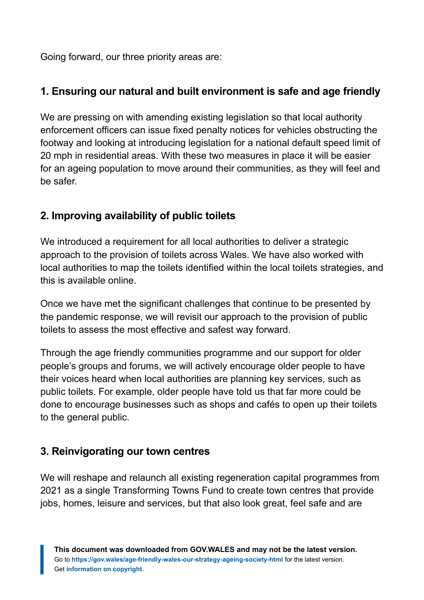Going forward, our three priority areas are:

#### **1. Ensuring our natural and built environment is safe and age friendly**

We are pressing on with amending existing legislation so that local authority enforcement officers can issue fixed penalty notices for vehicles obstructing the footway and looking at introducing legislation for a national default speed limit of 20 mph in residential areas. With these two measures in place it will be easier for an ageing population to move around their communities, as they will feel and be safer.

#### **2. Improving availability of public toilets**

We introduced a requirement for all local authorities to deliver a strategic approach to the provision of toilets across Wales. We have also worked with local authorities to map the toilets identified within the local toilets strategies, and this is available online.

Once we have met the significant challenges that continue to be presented by the pandemic response, we will revisit our approach to the provision of public toilets to assess the most effective and safest way forward.

Through the age friendly communities programme and our support for older people's groups and forums, we will actively encourage older people to have their voices heard when local authorities are planning key services, such as public toilets. For example, older people have told us that far more could be done to encourage businesses such as shops and cafés to open up their toilets to the general public.

#### **3. Reinvigorating our town centres**

We will reshape and relaunch all existing regeneration capital programmes from 2021 as a single Transforming Towns Fund to create town centres that provide jobs, homes, leisure and services, but that also look great, feel safe and are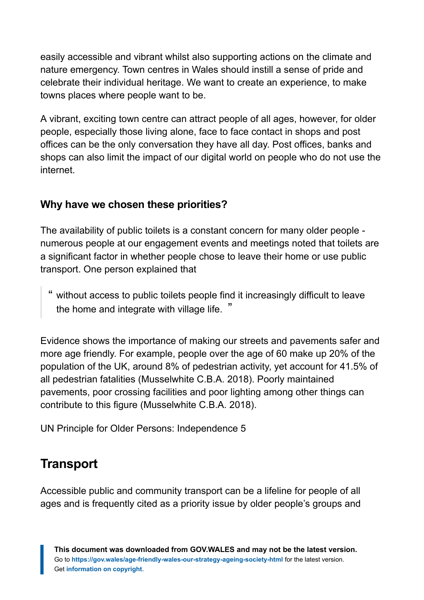easily accessible and vibrant whilst also supporting actions on the climate and nature emergency. Town centres in Wales should instill a sense of pride and celebrate their individual heritage. We want to create an experience, to make towns places where people want to be.

A vibrant, exciting town centre can attract people of all ages, however, for older people, especially those living alone, face to face contact in shops and post offices can be the only conversation they have all day. Post offices, banks and shops can also limit the impact of our digital world on people who do not use the internet.

#### **Why have we chosen these priorities?**

The availability of public toilets is a constant concern for many older people numerous people at our engagement events and meetings noted that toilets are a significant factor in whether people chose to leave their home or use public transport. One person explained that

" without access to public toilets people find it increasingly difficult to leave the home and integrate with village life. "

Evidence shows the importance of making our streets and pavements safer and more age friendly. For example, people over the age of 60 make up 20% of the population of the UK, around 8% of pedestrian activity, yet account for 41.5% of all pedestrian fatalities (Musselwhite C.B.A. 2018). Poorly maintained pavements, poor crossing facilities and poor lighting among other things can contribute to this figure (Musselwhite C.B.A. 2018).

UN Principle for Older Persons: Independence 5

### **Transport**

Accessible public and community transport can be a lifeline for people of all ages and is frequently cited as a priority issue by older people's groups and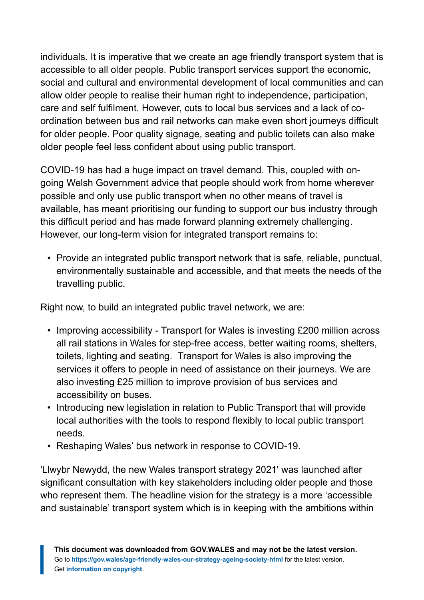individuals. It is imperative that we create an age friendly transport system that is accessible to all older people. Public transport services support the economic, social and cultural and environmental development of local communities and can allow older people to realise their human right to independence, participation, care and self fulfilment. However, cuts to local bus services and a lack of coordination between bus and rail networks can make even short journeys difficult for older people. Poor quality signage, seating and public toilets can also make older people feel less confident about using public transport.

COVID-19 has had a huge impact on travel demand. This, coupled with ongoing Welsh Government advice that people should work from home wherever possible and only use public transport when no other means of travel is available, has meant prioritising our funding to support our bus industry through this difficult period and has made forward planning extremely challenging. However, our long-term vision for integrated transport remains to:

• Provide an integrated public transport network that is safe, reliable, punctual, environmentally sustainable and accessible, and that meets the needs of the travelling public.

Right now, to build an integrated public travel network, we are:

- Improving accessibility Transport for Wales is investing £200 million across all rail stations in Wales for step-free access, better waiting rooms, shelters, toilets, lighting and seating. Transport for Wales is also improving the services it offers to people in need of assistance on their journeys. We are also investing £25 million to improve provision of bus services and accessibility on buses.
- Introducing new legislation in relation to Public Transport that will provide local authorities with the tools to respond flexibly to local public transport needs.
- Reshaping Wales' bus network in response to COVID-19.

'Llwybr Newydd, the new Wales transport strategy 2021' was launched after significant consultation with key stakeholders including older people and those who represent them. The headline vision for the strategy is a more 'accessible and sustainable' transport system which is in keeping with the ambitions within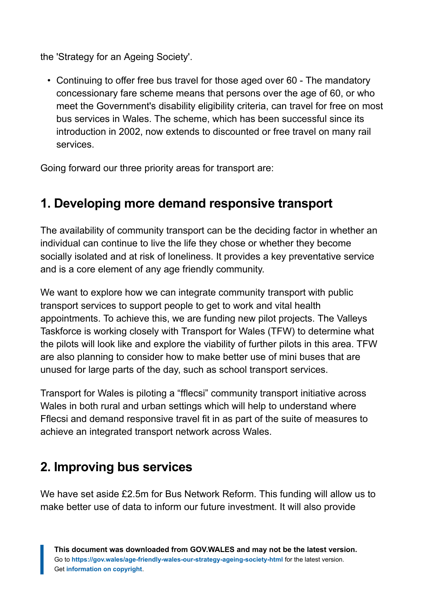the 'Strategy for an Ageing Society'.

• Continuing to offer free bus travel for those aged over 60 - The mandatory concessionary fare scheme means that persons over the age of 60, or who meet the Government's disability eligibility criteria, can travel for free on most bus services in Wales. The scheme, which has been successful since its introduction in 2002, now extends to discounted or free travel on many rail services.

Going forward our three priority areas for transport are:

# **1. Developing more demand responsive transport**

The availability of community transport can be the deciding factor in whether an individual can continue to live the life they chose or whether they become socially isolated and at risk of loneliness. It provides a key preventative service and is a core element of any age friendly community.

We want to explore how we can integrate community transport with public transport services to support people to get to work and vital health appointments. To achieve this, we are funding new pilot projects. The Valleys Taskforce is working closely with Transport for Wales (TFW) to determine what the pilots will look like and explore the viability of further pilots in this area. TFW are also planning to consider how to make better use of mini buses that are unused for large parts of the day, such as school transport services.

Transport for Wales is piloting a "fflecsi" community transport initiative across Wales in both rural and urban settings which will help to understand where Fflecsi and demand responsive travel fit in as part of the suite of measures to achieve an integrated transport network across Wales.

# **2. Improving bus services**

We have set aside £2.5m for Bus Network Reform. This funding will allow us to make better use of data to inform our future investment. It will also provide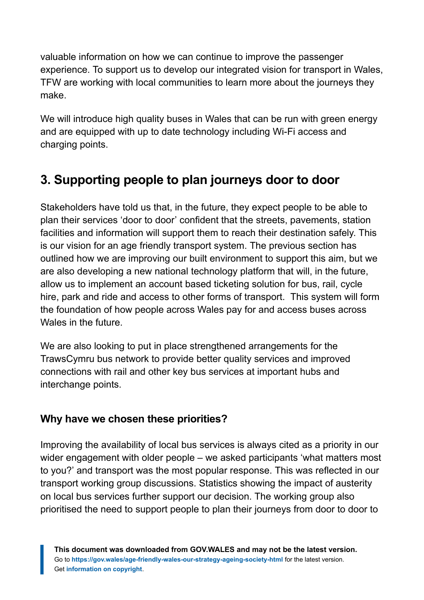valuable information on how we can continue to improve the passenger experience. To support us to develop our integrated vision for transport in Wales, TFW are working with local communities to learn more about the journeys they make.

We will introduce high quality buses in Wales that can be run with green energy and are equipped with up to date technology including Wi-Fi access and charging points.

# **3. Supporting people to plan journeys door to door**

Stakeholders have told us that, in the future, they expect people to be able to plan their services 'door to door' confident that the streets, pavements, station facilities and information will support them to reach their destination safely. This is our vision for an age friendly transport system. The previous section has outlined how we are improving our built environment to support this aim, but we are also developing a new national technology platform that will, in the future, allow us to implement an account based ticketing solution for bus, rail, cycle hire, park and ride and access to other forms of transport. This system will form the foundation of how people across Wales pay for and access buses across Wales in the future.

We are also looking to put in place strengthened arrangements for the TrawsCymru bus network to provide better quality services and improved connections with rail and other key bus services at important hubs and interchange points.

#### **Why have we chosen these priorities?**

Improving the availability of local bus services is always cited as a priority in our wider engagement with older people – we asked participants 'what matters most to you?' and transport was the most popular response. This was reflected in our transport working group discussions. Statistics showing the impact of austerity on local bus services further support our decision. The working group also prioritised the need to support people to plan their journeys from door to door to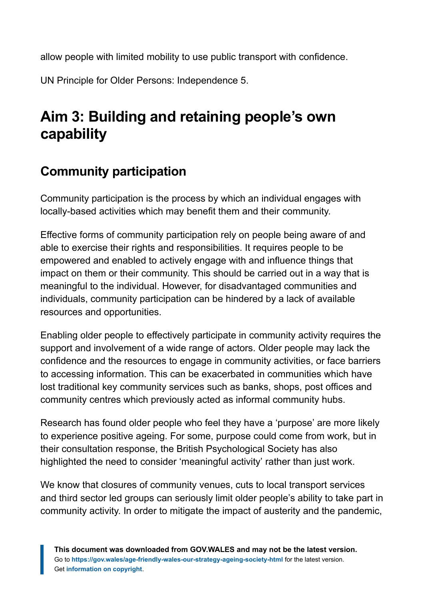allow people with limited mobility to use public transport with confidence.

UN Principle for Older Persons: Independence 5.

# <span id="page-35-0"></span>**Aim 3: Building and retaining people's own capability**

# **Community participation**

Community participation is the process by which an individual engages with locally-based activities which may benefit them and their community.

Effective forms of community participation rely on people being aware of and able to exercise their rights and responsibilities. It requires people to be empowered and enabled to actively engage with and influence things that impact on them or their community. This should be carried out in a way that is meaningful to the individual. However, for disadvantaged communities and individuals, community participation can be hindered by a lack of available resources and opportunities.

Enabling older people to effectively participate in community activity requires the support and involvement of a wide range of actors. Older people may lack the confidence and the resources to engage in community activities, or face barriers to accessing information. This can be exacerbated in communities which have lost traditional key community services such as banks, shops, post offices and community centres which previously acted as informal community hubs.

Research has found older people who feel they have a 'purpose' are more likely to experience positive ageing. For some, purpose could come from work, but in their consultation response, the British Psychological Society has also highlighted the need to consider 'meaningful activity' rather than just work.

We know that closures of community venues, cuts to local transport services and third sector led groups can seriously limit older people's ability to take part in community activity. In order to mitigate the impact of austerity and the pandemic,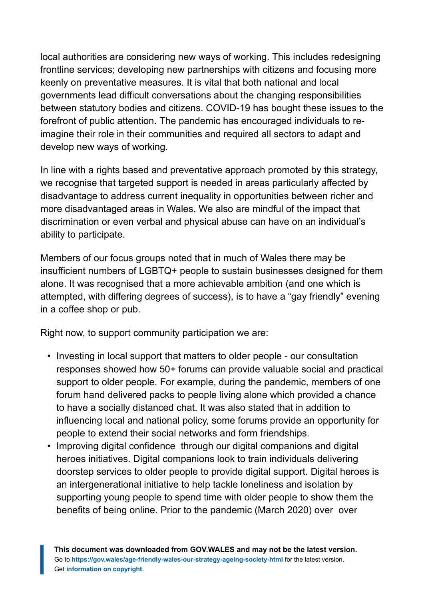local authorities are considering new ways of working. This includes redesigning frontline services; developing new partnerships with citizens and focusing more keenly on preventative measures. It is vital that both national and local governments lead difficult conversations about the changing responsibilities between statutory bodies and citizens. COVID-19 has bought these issues to the forefront of public attention. The pandemic has encouraged individuals to reimagine their role in their communities and required all sectors to adapt and develop new ways of working.

In line with a rights based and preventative approach promoted by this strategy, we recognise that targeted support is needed in areas particularly affected by disadvantage to address current inequality in opportunities between richer and more disadvantaged areas in Wales. We also are mindful of the impact that discrimination or even verbal and physical abuse can have on an individual's ability to participate.

Members of our focus groups noted that in much of Wales there may be insufficient numbers of LGBTQ+ people to sustain businesses designed for them alone. It was recognised that a more achievable ambition (and one which is attempted, with differing degrees of success), is to have a "gay friendly" evening in a coffee shop or pub.

Right now, to support community participation we are:

- Investing in local support that matters to older people our consultation responses showed how 50+ forums can provide valuable social and practical support to older people. For example, during the pandemic, members of one forum hand delivered packs to people living alone which provided a chance to have a socially distanced chat. It was also stated that in addition to influencing local and national policy, some forums provide an opportunity for people to extend their social networks and form friendships.
- Improving digital confidence through our digital companions and digital heroes initiatives. Digital companions look to train individuals delivering doorstep services to older people to provide digital support. Digital heroes is an intergenerational initiative to help tackle loneliness and isolation by supporting young people to spend time with older people to show them the benefits of being online. Prior to the pandemic (March 2020) over over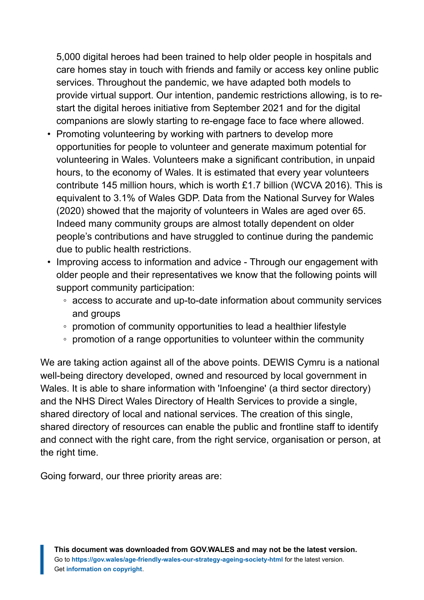5,000 digital heroes had been trained to help older people in hospitals and care homes stay in touch with friends and family or access key online public services. Throughout the pandemic, we have adapted both models to provide virtual support. Our intention, pandemic restrictions allowing, is to restart the digital heroes initiative from September 2021 and for the digital companions are slowly starting to re-engage face to face where allowed.

- Promoting volunteering by working with partners to develop more opportunities for people to volunteer and generate maximum potential for volunteering in Wales. Volunteers make a significant contribution, in unpaid hours, to the economy of Wales. It is estimated that every year volunteers contribute 145 million hours, which is worth £1.7 billion (WCVA 2016). This is equivalent to 3.1% of Wales GDP. Data from the National Survey for Wales (2020) showed that the majority of volunteers in Wales are aged over 65. Indeed many community groups are almost totally dependent on older people's contributions and have struggled to continue during the pandemic due to public health restrictions.
- Improving access to information and advice Through our engagement with older people and their representatives we know that the following points will support community participation:
	- access to accurate and up-to-date information about community services and groups
	- promotion of community opportunities to lead a healthier lifestyle
	- promotion of a range opportunities to volunteer within the community

We are taking action against all of the above points. DEWIS Cymru is a national well-being directory developed, owned and resourced by local government in Wales. It is able to share information with 'Infoengine' (a third sector directory) and the NHS Direct Wales Directory of Health Services to provide a single, shared directory of local and national services. The creation of this single, shared directory of resources can enable the public and frontline staff to identify and connect with the right care, from the right service, organisation or person, at the right time.

Going forward, our three priority areas are: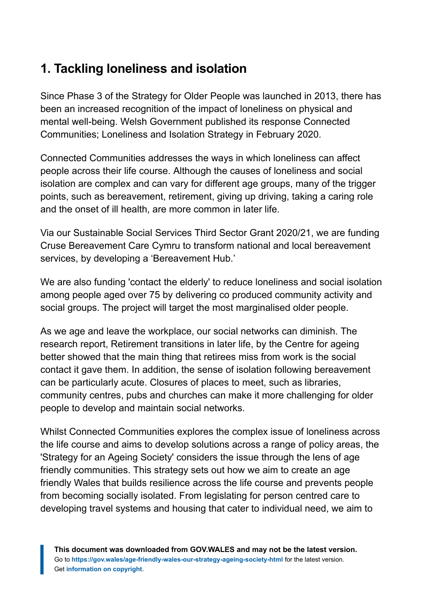# **1. Tackling loneliness and isolation**

Since Phase 3 of the Strategy for Older People was launched in 2013, there has been an increased recognition of the impact of loneliness on physical and mental well-being. Welsh Government published its response Connected Communities; Loneliness and Isolation Strategy in February 2020.

Connected Communities addresses the ways in which loneliness can affect people across their life course. Although the causes of loneliness and social isolation are complex and can vary for different age groups, many of the trigger points, such as bereavement, retirement, giving up driving, taking a caring role and the onset of ill health, are more common in later life.

Via our Sustainable Social Services Third Sector Grant 2020/21, we are funding Cruse Bereavement Care Cymru to transform national and local bereavement services, by developing a 'Bereavement Hub.'

We are also funding 'contact the elderly' to reduce loneliness and social isolation among people aged over 75 by delivering co produced community activity and social groups. The project will target the most marginalised older people.

As we age and leave the workplace, our social networks can diminish. The research report, Retirement transitions in later life, by the Centre for ageing better showed that the main thing that retirees miss from work is the social contact it gave them. In addition, the sense of isolation following bereavement can be particularly acute. Closures of places to meet, such as libraries, community centres, pubs and churches can make it more challenging for older people to develop and maintain social networks.

Whilst Connected Communities explores the complex issue of loneliness across the life course and aims to develop solutions across a range of policy areas, the 'Strategy for an Ageing Society' considers the issue through the lens of age friendly communities. This strategy sets out how we aim to create an age friendly Wales that builds resilience across the life course and prevents people from becoming socially isolated. From legislating for person centred care to developing travel systems and housing that cater to individual need, we aim to

**This document was downloaded from GOV.WALES and may not be the latest version.** Go to **<https://gov.wales/age-friendly-wales-our-strategy-ageing-society-html>** for the latest version. Get **[information on copyright](https://gov.wales/copyright-statement)**.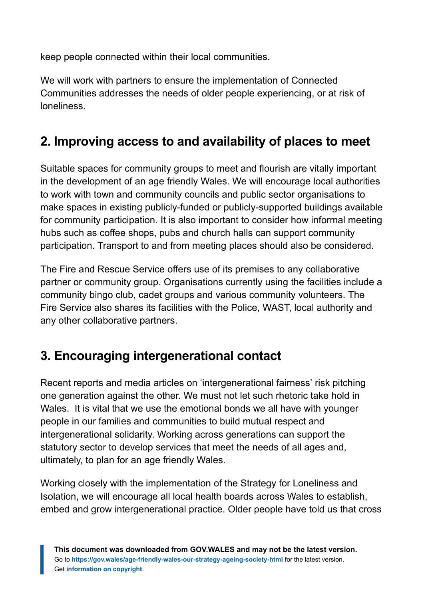keep people connected within their local communities.

We will work with partners to ensure the implementation of Connected Communities addresses the needs of older people experiencing, or at risk of loneliness.

# **2. Improving access to and availability of places to meet**

Suitable spaces for community groups to meet and flourish are vitally important in the development of an age friendly Wales. We will encourage local authorities to work with town and community councils and public sector organisations to make spaces in existing publicly-funded or publicly-supported buildings available for community participation. It is also important to consider how informal meeting hubs such as coffee shops, pubs and church halls can support community participation. Transport to and from meeting places should also be considered.

The Fire and Rescue Service offers use of its premises to any collaborative partner or community group. Organisations currently using the facilities include a community bingo club, cadet groups and various community volunteers. The Fire Service also shares its facilities with the Police, WAST, local authority and any other collaborative partners.

# **3. Encouraging intergenerational contact**

Recent reports and media articles on 'intergenerational fairness' risk pitching one generation against the other. We must not let such rhetoric take hold in Wales. It is vital that we use the emotional bonds we all have with younger people in our families and communities to build mutual respect and intergenerational solidarity. Working across generations can support the statutory sector to develop services that meet the needs of all ages and, ultimately, to plan for an age friendly Wales.

Working closely with the implementation of the Strategy for Loneliness and Isolation, we will encourage all local health boards across Wales to establish, embed and grow intergenerational practice. Older people have told us that cross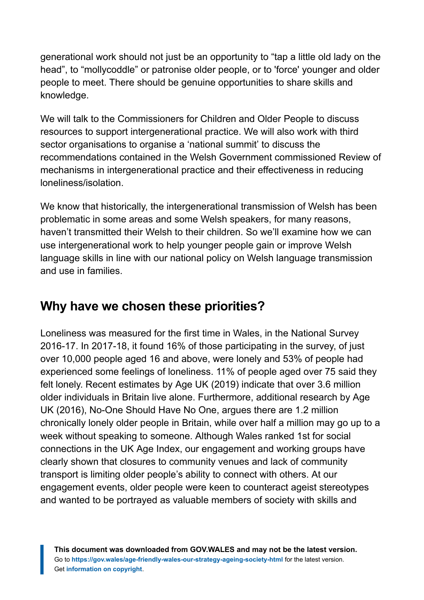generational work should not just be an opportunity to "tap a little old lady on the head", to "mollycoddle" or patronise older people, or to 'force' younger and older people to meet. There should be genuine opportunities to share skills and knowledge.

We will talk to the Commissioners for Children and Older People to discuss resources to support intergenerational practice. We will also work with third sector organisations to organise a 'national summit' to discuss the recommendations contained in the Welsh Government commissioned Review of mechanisms in intergenerational practice and their effectiveness in reducing loneliness/isolation.

We know that historically, the intergenerational transmission of Welsh has been problematic in some areas and some Welsh speakers, for many reasons, haven't transmitted their Welsh to their children. So we'll examine how we can use intergenerational work to help younger people gain or improve Welsh language skills in line with our national policy on Welsh language transmission and use in families.

### **Why have we chosen these priorities?**

Loneliness was measured for the first time in Wales, in the National Survey 2016-17. In 2017-18, it found 16% of those participating in the survey, of just over 10,000 people aged 16 and above, were lonely and 53% of people had experienced some feelings of loneliness. 11% of people aged over 75 said they felt lonely. Recent estimates by Age UK (2019) indicate that over 3.6 million older individuals in Britain live alone. Furthermore, additional research by Age UK (2016), No-One Should Have No One, argues there are 1.2 million chronically lonely older people in Britain, while over half a million may go up to a week without speaking to someone. Although Wales ranked 1st for social connections in the UK Age Index, our engagement and working groups have clearly shown that closures to community venues and lack of community transport is limiting older people's ability to connect with others. At our engagement events, older people were keen to counteract ageist stereotypes and wanted to be portrayed as valuable members of society with skills and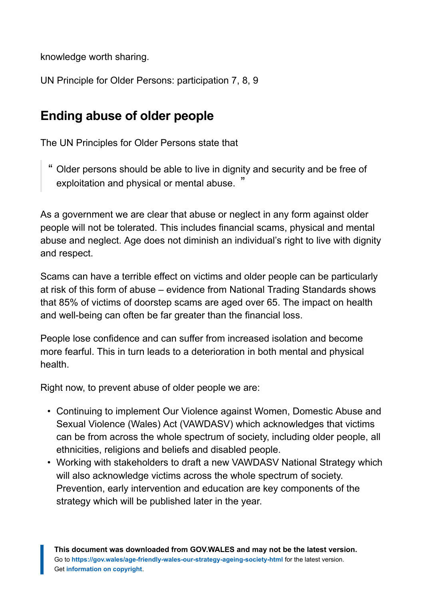knowledge worth sharing.

UN Principle for Older Persons: participation 7, 8, 9

### **Ending abuse of older people**

The UN Principles for Older Persons state that

" Older persons should be able to live in dignity and security and be free of exploitation and physical or mental abuse. "

As a government we are clear that abuse or neglect in any form against older people will not be tolerated. This includes financial scams, physical and mental abuse and neglect. Age does not diminish an individual's right to live with dignity and respect.

Scams can have a terrible effect on victims and older people can be particularly at risk of this form of abuse – evidence from National Trading Standards shows that 85% of victims of doorstep scams are aged over 65. The impact on health and well-being can often be far greater than the financial loss.

People lose confidence and can suffer from increased isolation and become more fearful. This in turn leads to a deterioration in both mental and physical health.

Right now, to prevent abuse of older people we are:

- Continuing to implement Our Violence against Women, Domestic Abuse and Sexual Violence (Wales) Act (VAWDASV) which acknowledges that victims can be from across the whole spectrum of society, including older people, all ethnicities, religions and beliefs and disabled people.
- Working with stakeholders to draft a new VAWDASV National Strategy which will also acknowledge victims across the whole spectrum of society. Prevention, early intervention and education are key components of the strategy which will be published later in the year.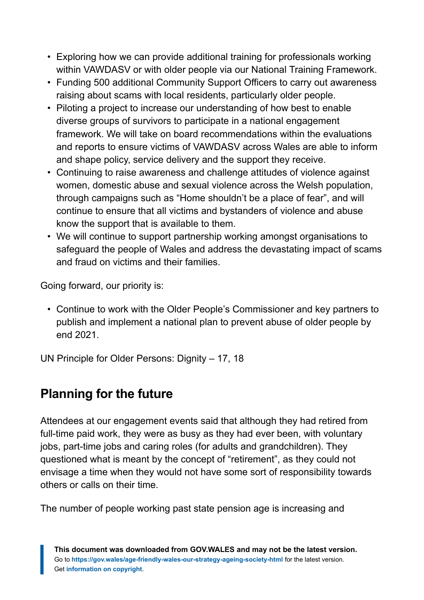- Exploring how we can provide additional training for professionals working within VAWDASV or with older people via our National Training Framework.
- Funding 500 additional Community Support Officers to carry out awareness raising about scams with local residents, particularly older people.
- Piloting a project to increase our understanding of how best to enable diverse groups of survivors to participate in a national engagement framework. We will take on board recommendations within the evaluations and reports to ensure victims of VAWDASV across Wales are able to inform and shape policy, service delivery and the support they receive.
- Continuing to raise awareness and challenge attitudes of violence against women, domestic abuse and sexual violence across the Welsh population, through campaigns such as "Home shouldn't be a place of fear", and will continue to ensure that all victims and bystanders of violence and abuse know the support that is available to them.
- We will continue to support partnership working amongst organisations to safeguard the people of Wales and address the devastating impact of scams and fraud on victims and their families.

Going forward, our priority is:

• Continue to work with the Older People's Commissioner and key partners to publish and implement a national plan to prevent abuse of older people by end 2021.

UN Principle for Older Persons: Dignity – 17, 18

### **Planning for the future**

Attendees at our engagement events said that although they had retired from full-time paid work, they were as busy as they had ever been, with voluntary jobs, part-time jobs and caring roles (for adults and grandchildren). They questioned what is meant by the concept of "retirement", as they could not envisage a time when they would not have some sort of responsibility towards others or calls on their time.

The number of people working past state pension age is increasing and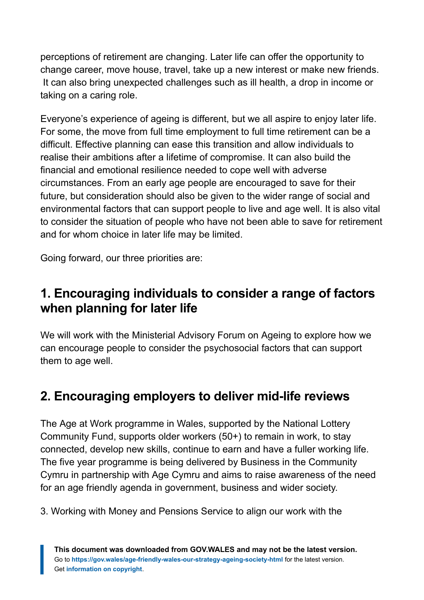perceptions of retirement are changing. Later life can offer the opportunity to change career, move house, travel, take up a new interest or make new friends. It can also bring unexpected challenges such as ill health, a drop in income or taking on a caring role.

Everyone's experience of ageing is different, but we all aspire to enjoy later life. For some, the move from full time employment to full time retirement can be a difficult. Effective planning can ease this transition and allow individuals to realise their ambitions after a lifetime of compromise. It can also build the financial and emotional resilience needed to cope well with adverse circumstances. From an early age people are encouraged to save for their future, but consideration should also be given to the wider range of social and environmental factors that can support people to live and age well. It is also vital to consider the situation of people who have not been able to save for retirement and for whom choice in later life may be limited.

Going forward, our three priorities are:

### **1. Encouraging individuals to consider a range of factors when planning for later life**

We will work with the Ministerial Advisory Forum on Ageing to explore how we can encourage people to consider the psychosocial factors that can support them to age well.

# **2. Encouraging employers to deliver mid-life reviews**

The Age at Work programme in Wales, supported by the National Lottery Community Fund, supports older workers (50+) to remain in work, to stay connected, develop new skills, continue to earn and have a fuller working life. The five year programme is being delivered by Business in the Community Cymru in partnership with Age Cymru and aims to raise awareness of the need for an age friendly agenda in government, business and wider society.

3. Working with Money and Pensions Service to align our work with the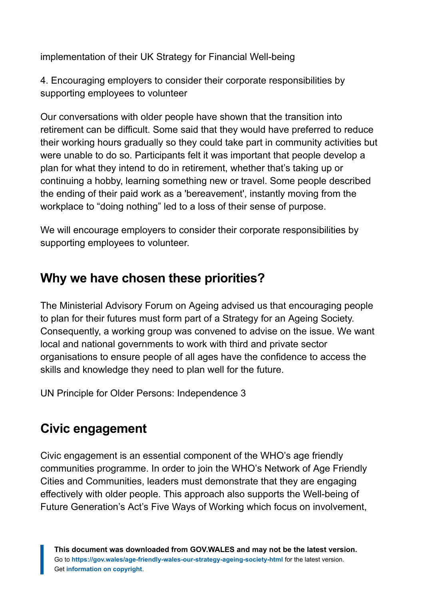implementation of their UK Strategy for Financial Well-being

4. Encouraging employers to consider their corporate responsibilities by supporting employees to volunteer

Our conversations with older people have shown that the transition into retirement can be difficult. Some said that they would have preferred to reduce their working hours gradually so they could take part in community activities but were unable to do so. Participants felt it was important that people develop a plan for what they intend to do in retirement, whether that's taking up or continuing a hobby, learning something new or travel. Some people described the ending of their paid work as a 'bereavement', instantly moving from the workplace to "doing nothing" led to a loss of their sense of purpose.

We will encourage employers to consider their corporate responsibilities by supporting employees to volunteer.

### **Why we have chosen these priorities?**

The Ministerial Advisory Forum on Ageing advised us that encouraging people to plan for their futures must form part of a Strategy for an Ageing Society. Consequently, a working group was convened to advise on the issue. We want local and national governments to work with third and private sector organisations to ensure people of all ages have the confidence to access the skills and knowledge they need to plan well for the future.

UN Principle for Older Persons: Independence 3

### **Civic engagement**

Civic engagement is an essential component of the WHO's age friendly communities programme. In order to join the WHO's Network of Age Friendly Cities and Communities, leaders must demonstrate that they are engaging effectively with older people. This approach also supports the Well-being of Future Generation's Act's Five Ways of Working which focus on involvement,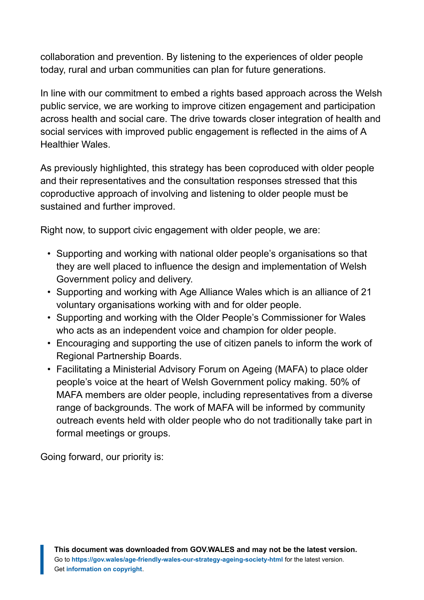collaboration and prevention. By listening to the experiences of older people today, rural and urban communities can plan for future generations.

In line with our commitment to embed a rights based approach across the Welsh public service, we are working to improve citizen engagement and participation across health and social care. The drive towards closer integration of health and social services with improved public engagement is reflected in the aims of A Healthier Wales.

As previously highlighted, this strategy has been coproduced with older people and their representatives and the consultation responses stressed that this coproductive approach of involving and listening to older people must be sustained and further improved.

Right now, to support civic engagement with older people, we are:

- Supporting and working with national older people's organisations so that they are well placed to influence the design and implementation of Welsh Government policy and delivery.
- Supporting and working with Age Alliance Wales which is an alliance of 21 voluntary organisations working with and for older people.
- Supporting and working with the Older People's Commissioner for Wales who acts as an independent voice and champion for older people.
- Encouraging and supporting the use of citizen panels to inform the work of Regional Partnership Boards.
- Facilitating a Ministerial Advisory Forum on Ageing (MAFA) to place older people's voice at the heart of Welsh Government policy making. 50% of MAFA members are older people, including representatives from a diverse range of backgrounds. The work of MAFA will be informed by community outreach events held with older people who do not traditionally take part in formal meetings or groups.

Going forward, our priority is: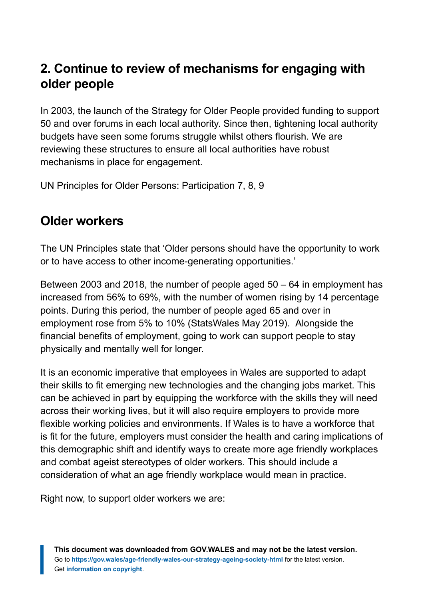# **2. Continue to review of mechanisms for engaging with older people**

In 2003, the launch of the Strategy for Older People provided funding to support 50 and over forums in each local authority. Since then, tightening local authority budgets have seen some forums struggle whilst others flourish. We are reviewing these structures to ensure all local authorities have robust mechanisms in place for engagement.

UN Principles for Older Persons: Participation 7, 8, 9

### **Older workers**

The UN Principles state that 'Older persons should have the opportunity to work or to have access to other income-generating opportunities.'

Between 2003 and 2018, the number of people aged 50 – 64 in employment has increased from 56% to 69%, with the number of women rising by 14 percentage points. During this period, the number of people aged 65 and over in employment rose from 5% to 10% (StatsWales May 2019). Alongside the financial benefits of employment, going to work can support people to stay physically and mentally well for longer.

It is an economic imperative that employees in Wales are supported to adapt their skills to fit emerging new technologies and the changing jobs market. This can be achieved in part by equipping the workforce with the skills they will need across their working lives, but it will also require employers to provide more flexible working policies and environments. If Wales is to have a workforce that is fit for the future, employers must consider the health and caring implications of this demographic shift and identify ways to create more age friendly workplaces and combat ageist stereotypes of older workers. This should include a consideration of what an age friendly workplace would mean in practice.

Right now, to support older workers we are: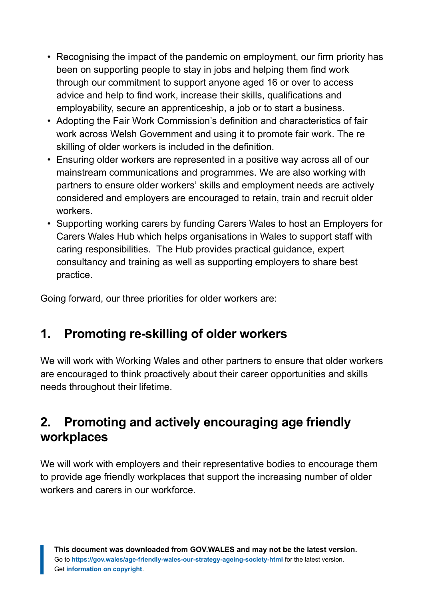- Recognising the impact of the pandemic on employment, our firm priority has been on supporting people to stay in jobs and helping them find work through our commitment to support anyone aged 16 or over to access advice and help to find work, increase their skills, qualifications and employability, secure an apprenticeship, a job or to start a business.
- Adopting the Fair Work Commission's definition and characteristics of fair work across Welsh Government and using it to promote fair work. The re skilling of older workers is included in the definition.
- Ensuring older workers are represented in a positive way across all of our mainstream communications and programmes. We are also working with partners to ensure older workers' skills and employment needs are actively considered and employers are encouraged to retain, train and recruit older workers.
- Supporting working carers by funding Carers Wales to host an Employers for Carers Wales Hub which helps organisations in Wales to support staff with caring responsibilities. The Hub provides practical guidance, expert consultancy and training as well as supporting employers to share best practice.

Going forward, our three priorities for older workers are:

# **1. Promoting re-skilling of older workers**

We will work with Working Wales and other partners to ensure that older workers are encouraged to think proactively about their career opportunities and skills needs throughout their lifetime.

### **2. Promoting and actively encouraging age friendly workplaces**

We will work with employers and their representative bodies to encourage them to provide age friendly workplaces that support the increasing number of older workers and carers in our workforce.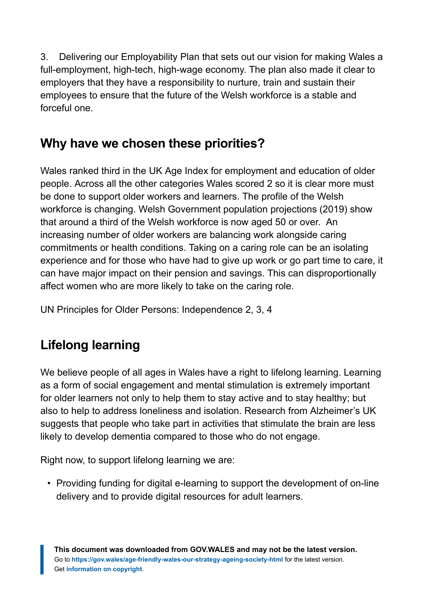3. Delivering our Employability Plan that sets out our vision for making Wales a full-employment, high-tech, high-wage economy. The plan also made it clear to employers that they have a responsibility to nurture, train and sustain their employees to ensure that the future of the Welsh workforce is a stable and forceful one.

# **Why have we chosen these priorities?**

Wales ranked third in the UK Age Index for employment and education of older people. Across all the other categories Wales scored 2 so it is clear more must be done to support older workers and learners. The profile of the Welsh workforce is changing. Welsh Government population projections (2019) show that around a third of the Welsh workforce is now aged 50 or over. An increasing number of older workers are balancing work alongside caring commitments or health conditions. Taking on a caring role can be an isolating experience and for those who have had to give up work or go part time to care, it can have major impact on their pension and savings. This can disproportionally affect women who are more likely to take on the caring role.

UN Principles for Older Persons: Independence 2, 3, 4

# **Lifelong learning**

We believe people of all ages in Wales have a right to lifelong learning. Learning as a form of social engagement and mental stimulation is extremely important for older learners not only to help them to stay active and to stay healthy; but also to help to address loneliness and isolation. Research from Alzheimer's UK suggests that people who take part in activities that stimulate the brain are less likely to develop dementia compared to those who do not engage.

Right now, to support lifelong learning we are:

• Providing funding for digital e-learning to support the development of on-line delivery and to provide digital resources for adult learners.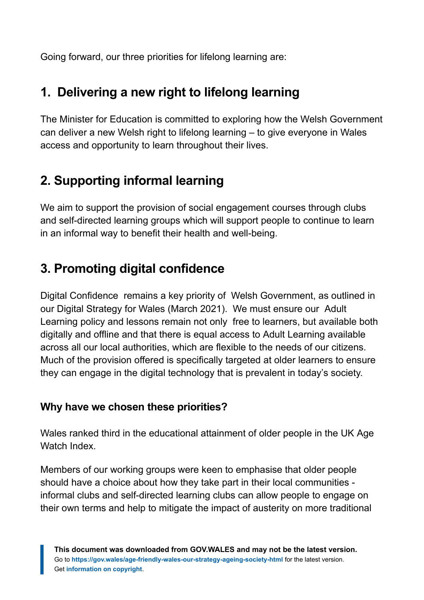Going forward, our three priorities for lifelong learning are:

# **1. Delivering a new right to lifelong learning**

The Minister for Education is committed to exploring how the Welsh Government can deliver a new Welsh right to lifelong learning – to give everyone in Wales access and opportunity to learn throughout their lives.

# **2. Supporting informal learning**

We aim to support the provision of social engagement courses through clubs and self-directed learning groups which will support people to continue to learn in an informal way to benefit their health and well-being.

### **3. Promoting digital confidence**

Digital Confidence remains a key priority of Welsh Government, as outlined in our Digital Strategy for Wales (March 2021). We must ensure our Adult Learning policy and lessons remain not only free to learners, but available both digitally and offline and that there is equal access to Adult Learning available across all our local authorities, which are flexible to the needs of our citizens. Much of the provision offered is specifically targeted at older learners to ensure they can engage in the digital technology that is prevalent in today's society.

#### **Why have we chosen these priorities?**

Wales ranked third in the educational attainment of older people in the UK Age Watch Index.

Members of our working groups were keen to emphasise that older people should have a choice about how they take part in their local communities informal clubs and self-directed learning clubs can allow people to engage on their own terms and help to mitigate the impact of austerity on more traditional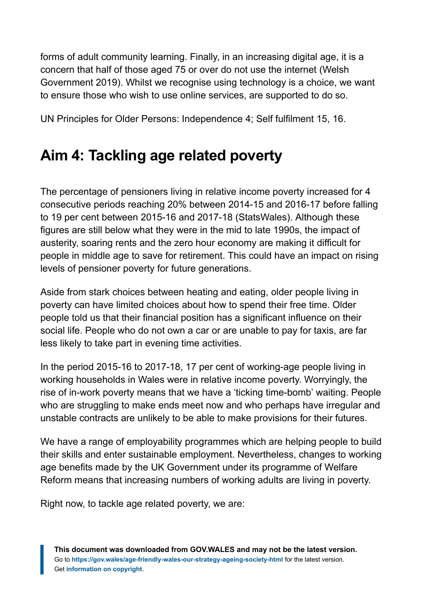forms of adult community learning. Finally, in an increasing digital age, it is a concern that half of those aged 75 or over do not use the internet (Welsh Government 2019). Whilst we recognise using technology is a choice, we want to ensure those who wish to use online services, are supported to do so.

UN Principles for Older Persons: Independence 4; Self fulfilment 15, 16.

# <span id="page-50-0"></span>**Aim 4: Tackling age related poverty**

The percentage of pensioners living in relative income poverty increased for 4 consecutive periods reaching 20% between 2014-15 and 2016-17 before falling to 19 per cent between 2015-16 and 2017-18 (StatsWales). Although these figures are still below what they were in the mid to late 1990s, the impact of austerity, soaring rents and the zero hour economy are making it difficult for people in middle age to save for retirement. This could have an impact on rising levels of pensioner poverty for future generations.

Aside from stark choices between heating and eating, older people living in poverty can have limited choices about how to spend their free time. Older people told us that their financial position has a significant influence on their social life. People who do not own a car or are unable to pay for taxis, are far less likely to take part in evening time activities.

In the period 2015-16 to 2017-18, 17 per cent of working-age people living in working households in Wales were in relative income poverty. Worryingly, the rise of in-work poverty means that we have a 'ticking time-bomb' waiting. People who are struggling to make ends meet now and who perhaps have irregular and unstable contracts are unlikely to be able to make provisions for their futures.

We have a range of employability programmes which are helping people to build their skills and enter sustainable employment. Nevertheless, changes to working age benefits made by the UK Government under its programme of Welfare Reform means that increasing numbers of working adults are living in poverty.

Right now, to tackle age related poverty, we are: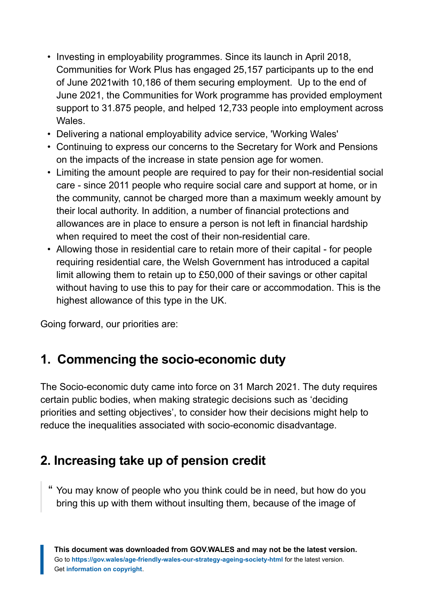- Investing in employability programmes. Since its launch in April 2018, Communities for Work Plus has engaged 25,157 participants up to the end of June 2021with 10,186 of them securing employment. Up to the end of June 2021, the Communities for Work programme has provided employment support to 31.875 people, and helped 12,733 people into employment across Wales.
- Delivering a national employability advice service, 'Working Wales'
- Continuing to express our concerns to the Secretary for Work and Pensions on the impacts of the increase in state pension age for women.
- Limiting the amount people are required to pay for their non-residential social care - since 2011 people who require social care and support at home, or in the community, cannot be charged more than a maximum weekly amount by their local authority. In addition, a number of financial protections and allowances are in place to ensure a person is not left in financial hardship when required to meet the cost of their non-residential care.
- Allowing those in residential care to retain more of their capital for people requiring residential care, the Welsh Government has introduced a capital limit allowing them to retain up to £50,000 of their savings or other capital without having to use this to pay for their care or accommodation. This is the highest allowance of this type in the UK.

Going forward, our priorities are:

# **1. Commencing the socio-economic duty**

The Socio-economic duty came into force on 31 March 2021. The duty requires certain public bodies, when making strategic decisions such as 'deciding priorities and setting objectives', to consider how their decisions might help to reduce the inequalities associated with socio-economic disadvantage.

# **2. Increasing take up of pension credit**

" You may know of people who you think could be in need, but how do you bring this up with them without insulting them, because of the image of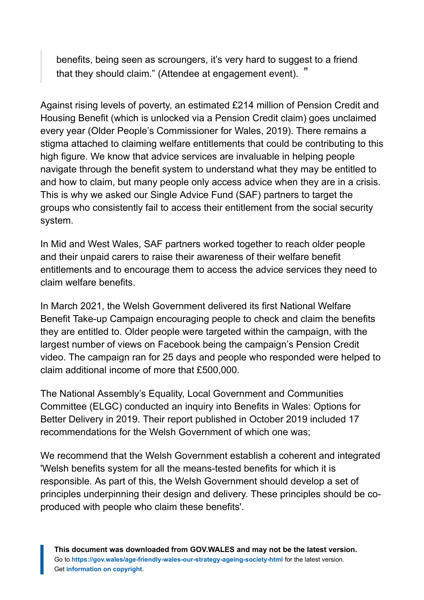benefits, being seen as scroungers, it's very hard to suggest to a friend that they should claim." (Attendee at engagement event). "

Against rising levels of poverty, an estimated £214 million of Pension Credit and Housing Benefit (which is unlocked via a Pension Credit claim) goes unclaimed every year (Older People's Commissioner for Wales, 2019). There remains a stigma attached to claiming welfare entitlements that could be contributing to this high figure. We know that advice services are invaluable in helping people navigate through the benefit system to understand what they may be entitled to and how to claim, but many people only access advice when they are in a crisis. This is why we asked our Single Advice Fund (SAF) partners to target the groups who consistently fail to access their entitlement from the social security system.

In Mid and West Wales, SAF partners worked together to reach older people and their unpaid carers to raise their awareness of their welfare benefit entitlements and to encourage them to access the advice services they need to claim welfare benefits.

In March 2021, the Welsh Government delivered its first National Welfare Benefit Take-up Campaign encouraging people to check and claim the benefits they are entitled to. Older people were targeted within the campaign, with the largest number of views on Facebook being the campaign's Pension Credit video. The campaign ran for 25 days and people who responded were helped to claim additional income of more that £500,000.

The National Assembly's Equality, Local Government and Communities Committee (ELGC) conducted an inquiry into Benefits in Wales: Options for Better Delivery in 2019. Their report published in October 2019 included 17 recommendations for the Welsh Government of which one was;

We recommend that the Welsh Government establish a coherent and integrated 'Welsh benefits system for all the means-tested benefits for which it is responsible. As part of this, the Welsh Government should develop a set of principles underpinning their design and delivery. These principles should be coproduced with people who claim these benefits'.

**This document was downloaded from GOV.WALES and may not be the latest version.** Go to **<https://gov.wales/age-friendly-wales-our-strategy-ageing-society-html>** for the latest version. Get **[information on copyright](https://gov.wales/copyright-statement)**.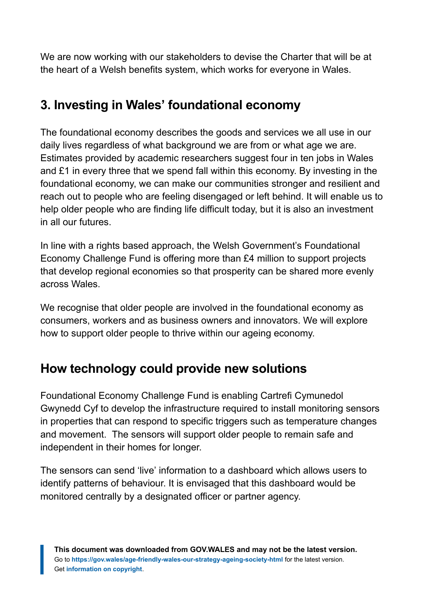We are now working with our stakeholders to devise the Charter that will be at the heart of a Welsh benefits system, which works for everyone in Wales.

# **3. Investing in Wales' foundational economy**

The foundational economy describes the goods and services we all use in our daily lives regardless of what background we are from or what age we are. Estimates provided by academic researchers suggest four in ten jobs in Wales and £1 in every three that we spend fall within this economy. By investing in the foundational economy, we can make our communities stronger and resilient and reach out to people who are feeling disengaged or left behind. It will enable us to help older people who are finding life difficult today, but it is also an investment in all our futures.

In line with a rights based approach, the Welsh Government's Foundational Economy Challenge Fund is offering more than £4 million to support projects that develop regional economies so that prosperity can be shared more evenly across Wales.

We recognise that older people are involved in the foundational economy as consumers, workers and as business owners and innovators. We will explore how to support older people to thrive within our ageing economy.

### **How technology could provide new solutions**

Foundational Economy Challenge Fund is enabling Cartrefi Cymunedol Gwynedd Cyf to develop the infrastructure required to install monitoring sensors in properties that can respond to specific triggers such as temperature changes and movement. The sensors will support older people to remain safe and independent in their homes for longer.

The sensors can send 'live' information to a dashboard which allows users to identify patterns of behaviour. It is envisaged that this dashboard would be monitored centrally by a designated officer or partner agency.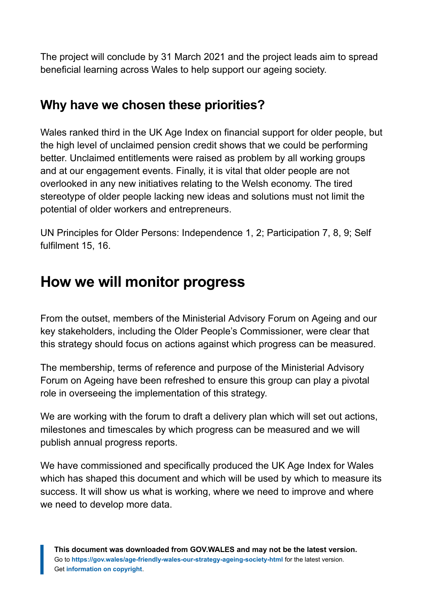The project will conclude by 31 March 2021 and the project leads aim to spread beneficial learning across Wales to help support our ageing society.

### **Why have we chosen these priorities?**

Wales ranked third in the UK Age Index on financial support for older people, but the high level of unclaimed pension credit shows that we could be performing better. Unclaimed entitlements were raised as problem by all working groups and at our engagement events. Finally, it is vital that older people are not overlooked in any new initiatives relating to the Welsh economy. The tired stereotype of older people lacking new ideas and solutions must not limit the potential of older workers and entrepreneurs.

UN Principles for Older Persons: Independence 1, 2; Participation 7, 8, 9; Self fulfilment 15, 16.

# <span id="page-54-0"></span>**How we will monitor progress**

From the outset, members of the Ministerial Advisory Forum on Ageing and our key stakeholders, including the Older People's Commissioner, were clear that this strategy should focus on actions against which progress can be measured.

The membership, terms of reference and purpose of the Ministerial Advisory Forum on Ageing have been refreshed to ensure this group can play a pivotal role in overseeing the implementation of this strategy.

We are working with the forum to draft a delivery plan which will set out actions, milestones and timescales by which progress can be measured and we will publish annual progress reports.

We have commissioned and specifically produced the UK Age Index for Wales which has shaped this document and which will be used by which to measure its success. It will show us what is working, where we need to improve and where we need to develop more data.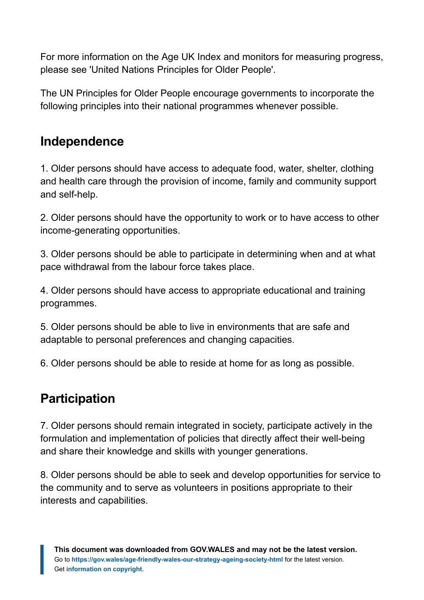For more information on the Age UK Index and monitors for measuring progress, please see 'United Nations Principles for Older People'.

The UN Principles for Older People encourage governments to incorporate the following principles into their national programmes whenever possible.

### **Independence**

1. Older persons should have access to adequate food, water, shelter, clothing and health care through the provision of income, family and community support and self-help.

2. Older persons should have the opportunity to work or to have access to other income-generating opportunities.

3. Older persons should be able to participate in determining when and at what pace withdrawal from the labour force takes place.

4. Older persons should have access to appropriate educational and training programmes.

5. Older persons should be able to live in environments that are safe and adaptable to personal preferences and changing capacities.

6. Older persons should be able to reside at home for as long as possible.

### **Participation**

7. Older persons should remain integrated in society, participate actively in the formulation and implementation of policies that directly affect their well-being and share their knowledge and skills with younger generations.

8. Older persons should be able to seek and develop opportunities for service to the community and to serve as volunteers in positions appropriate to their interests and capabilities.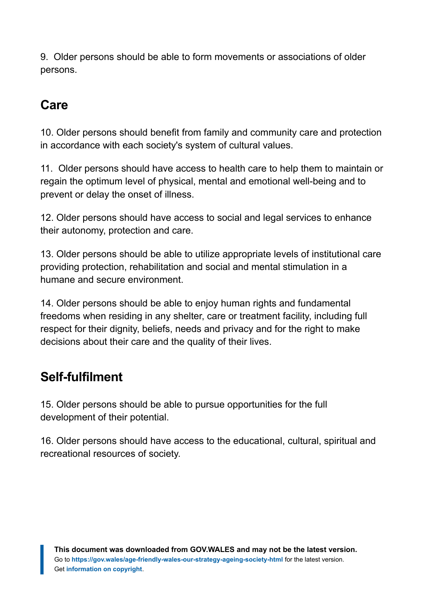9. Older persons should be able to form movements or associations of older persons.

### **Care**

10. Older persons should benefit from family and community care and protection in accordance with each society's system of cultural values.

11. Older persons should have access to health care to help them to maintain or regain the optimum level of physical, mental and emotional well-being and to prevent or delay the onset of illness.

12. Older persons should have access to social and legal services to enhance their autonomy, protection and care.

13. Older persons should be able to utilize appropriate levels of institutional care providing protection, rehabilitation and social and mental stimulation in a humane and secure environment.

14. Older persons should be able to enjoy human rights and fundamental freedoms when residing in any shelter, care or treatment facility, including full respect for their dignity, beliefs, needs and privacy and for the right to make decisions about their care and the quality of their lives.

# **Self-fulfilment**

15. Older persons should be able to pursue opportunities for the full development of their potential.

16. Older persons should have access to the educational, cultural, spiritual and recreational resources of society.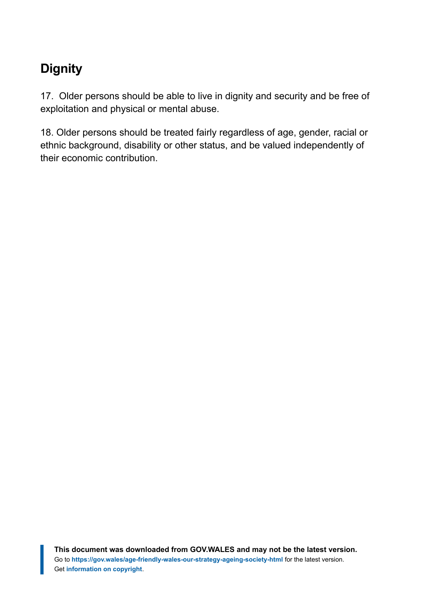# **Dignity**

17. Older persons should be able to live in dignity and security and be free of exploitation and physical or mental abuse.

18. Older persons should be treated fairly regardless of age, gender, racial or ethnic background, disability or other status, and be valued independently of their economic contribution.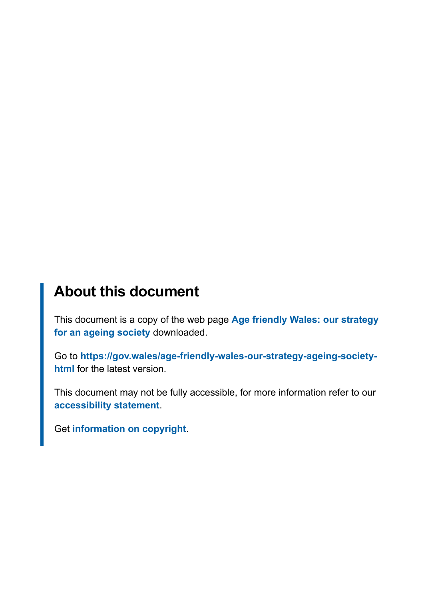# **About this document**

This document is a copy of the web page **[Age friendly Wales: our strategy](https://gov.wales/age-friendly-wales-our-strategy-ageing-society-html) [for an ageing society](https://gov.wales/age-friendly-wales-our-strategy-ageing-society-html)** downloaded.

Go to **[https://gov.wales/age-friendly-wales-our-strategy-ageing-society](https://gov.wales/age-friendly-wales-our-strategy-ageing-society-html)[html](https://gov.wales/age-friendly-wales-our-strategy-ageing-society-html)** for the latest version.

This document may not be fully accessible, for more information refer to our **[accessibility statement](https://gov.wales/accessibility-statement-govwales)**.

Get **[information on copyright](https://gov.wales/copyright-statement)**.